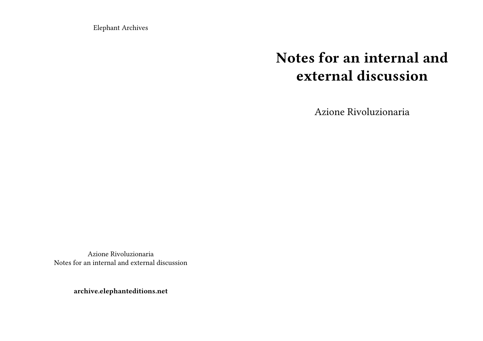Elephant Archives

## **Notes for an internal and external discussion**

Azione Rivoluzionaria

Azione Rivoluzionaria Notes for an internal and external discussion

**archive.elephanteditions.net**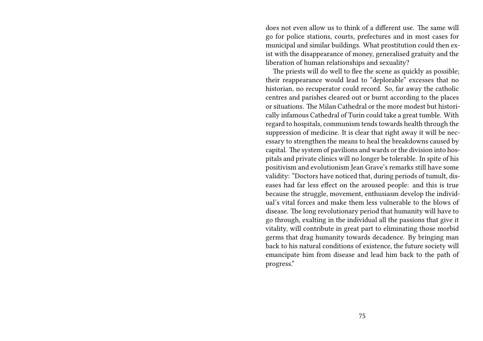does not even allow us to think of a different use. The same will go for police stations, courts, prefectures and in most cases for municipal and similar buildings. What prostitution could then exist with the disappearance of money, generalised gratuity and the liberation of human relationships and sexuality?

The priests will do well to flee the scene as quickly as possible; their reappearance would lead to "deplorable" excesses that no historian, no recuperator could record. So, far away the catholic centres and parishes cleared out or burnt according to the places or situations. The Milan Cathedral or the more modest but historically infamous Cathedral of Turin could take a great tumble. With regard to hospitals, communism tends towards health through the suppression of medicine. It is clear that right away it will be necessary to strengthen the means to heal the breakdowns caused by capital. The system of pavilions and wards or the division into hospitals and private clinics will no longer be tolerable. In spite of his positivism and evolutionism Jean Grave's remarks still have some validity: "Doctors have noticed that, during periods of tumult, diseases had far less effect on the aroused people: and this is true because the struggle, movement, enthusiasm develop the individual's vital forces and make them less vulnerable to the blows of disease. The long revolutionary period that humanity will have to go through, exalting in the individual all the passions that give it vitality, will contribute in great part to eliminating those morbid germs that drag humanity towards decadence. By bringing man back to his natural conditions of existence, the future society will emancipate him from disease and lead him back to the path of progress."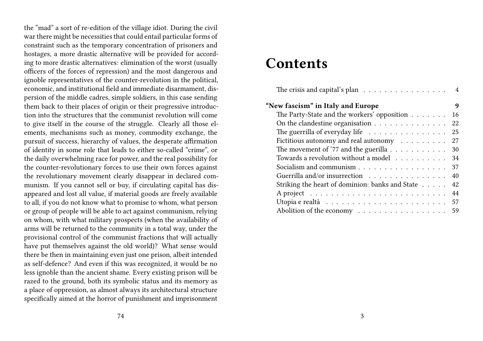the "mad" a sort of re-edition of the village idiot. During the civil war there might be necessities that could entail particular forms of constraint such as the temporary concentration of prisoners and hostages, a more drastic alternative will be provided for according to more drastic alternatives: elimination of the worst (usually officers of the forces of repression) and the most dangerous and ignoble representatives of the counter-revolution in the political, economic, and institutional field and immediate disarmament, dispersion of the middle cadres, simple soldiers, in this case sending them back to their places of origin or their progressive introduction into the structures that the communist revolution will come to give itself in the course of the struggle. Clearly all those elements, mechanisms such as money, commodity exchange, the pursuit of success, hierarchy of values, the desperate affirmation of identity in some role that leads to either so-called "crime", or the daily overwhelming race for power, and the real possibility for the counter-revolutionary forces to use their own forces against the revolutionary movement clearly disappear in declared communism. If you cannot sell or buy, if circulating capital has disappeared and lost all value, if material goods are freely available to all, if you do not know what to promise to whom, what person or group of people will be able to act against communism, relying on whom, with what military prospects (when the availability of arms will be returned to the community in a total way, under the provisional control of the communist fractions that will actually have put themselves against the old world)? What sense would there be then in maintaining even just one prison, albeit intended as self-defence? And even if this was recognized, it would be no less ignoble than the ancient shame. Every existing prison will be razed to the ground, both its symbolic status and its memory as a place of oppression, as almost always its architectural structure specifically aimed at the horror of punishment and imprisonment

### **Contents**

| The crisis and capital's plan $\ldots \ldots \ldots \ldots \ldots$ 4         |     |
|------------------------------------------------------------------------------|-----|
| "New fascism" in Italy and Europe                                            | 9   |
| The Party-State and the workers' opposition                                  | 16  |
|                                                                              | 22  |
| The guerrilla of everyday life $\ldots \ldots \ldots \ldots \ldots$          | -25 |
| Fictitious autonomy and real autonomy $\ldots \ldots \ldots$                 | 27  |
| The movement of '77 and the guerilla $\dots \dots \dots$                     | -30 |
| Towards a revolution without a model 34                                      |     |
| Socialism and communism 37                                                   |     |
| Guerrilla and/or insurrection                                                | 40  |
| Striking the heart of dominion: banks and State                              | 42  |
|                                                                              | 44  |
| Utopia e realtà $\ldots \ldots \ldots \ldots \ldots \ldots \ldots \ldots 57$ |     |
| Abolition of the economy 59                                                  |     |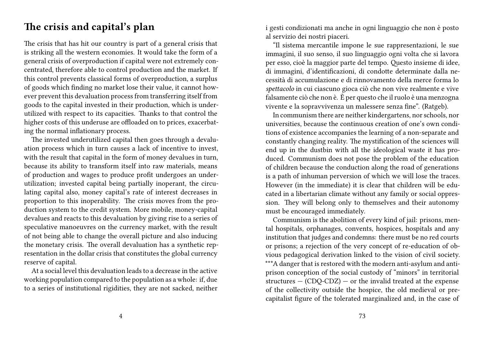#### **The crisis and capital's plan**

The crisis that has hit our country is part of a general crisis that is striking all the western economies. It would take the form of a general crisis of overproduction if capital were not extremely concentrated, therefore able to control production and the market. If this control prevents classical forms of overproduction, a surplus of goods which finding no market lose their value, it cannot however prevent this devaluation process from transferring itself from goods to the capital invested in their production, which is underutilized with respect to its capacities. Thanks to that control the higher costs of this underuse are offloaded on to prices, exacerbating the normal inflationary process.

The invested underutilized capital then goes through a devaluation process which in turn causes a lack of incentive to invest, with the result that capital in the form of money devalues in turn, because its ability to transform itself into raw materials, means of production and wages to produce profit undergoes an underutilization; invested capital being partially inoperant, the circulating capital also, money capital's rate of interest decreases in proportion to this inoperability. The crisis moves from the production system to the credit system. More mobile, money-capital devalues and reacts to this devaluation by giving rise to a series of speculative manoeuvres on the currency market, with the result of not being able to change the overall picture and also inducing the monetary crisis. The overall devaluation has a synthetic representation in the dollar crisis that constitutes the global currency reserve of capital.

At a social level this devaluation leads to a decrease in the active working population compared to the population as a whole: if, due to a series of institutional rigidities, they are not sacked, neither i gesti condizionati ma anche in ogni linguaggio che non è posto al servizio dei nostri piaceri.

"Il sistema mercantile impone le sue rappresentazioni, le sue immagini, il suo senso, il suo linguaggio ogni volta che si lavora per esso, cioè la maggior parte del tempo. Questo insieme di idee, di immagini, d'identificazioni, di condotte determinate dalla necessità di accumulazione e di rinnovamento della merce forma lo *spettacolo* in cui ciascuno gioca ciò che non vive realmente e vive falsamente ciò che non è. È per questo che il ruolo è una menzogna vivente e la sopravvivenza un malessere senza fine". (Ratgeb).

In communism there are neither kindergartens, nor schools, nor universities, because the continuous creation of one's own conditions of existence accompanies the learning of a non-separate and constantly changing reality. The mystification of the sciences will end up in the dustbin with all the ideological waste it has produced. Communism does not pose the problem of the education of children because the conduction along the road of generations is a path of inhuman perversion of which we will lose the traces. However (in the immediate) it is clear that children will be educated in a libertarian climate without any family or social oppression. They will belong only to themselves and their autonomy must be encouraged immediately.

Communism is the abolition of every kind of jail: prisons, mental hospitals, orphanages, convents, hospices, hospitals and any institution that judges and condemns: there must be no red courts or prisons; a rejection of the very concept of re-education of obvious pedagogical derivation linked to the vision of civil society. \*\*\*A danger that is restored with the modern anti-asylum and antiprison conception of the social custody of "minors" in territorial structures  $-$  (CDQ-CDZ)  $-$  or the invalid treated at the expense of the collectivity outside the hospice, the old medieval or pre-

capitalist figure of the tolerated marginalized and, in the case of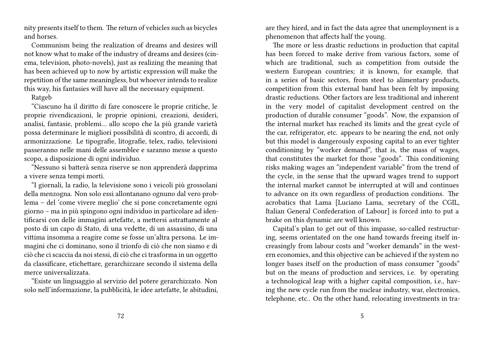nity presents itself to them. The return of vehicles such as bicycles and horses.

Communism being the realization of dreams and desires will not know what to make of the industry of dreams and desires (cinema, television, photo-novels), just as realizing the meaning that has been achieved up to now by artistic expression will make the repetition of the same meaningless, but whoever intends to realize this way, his fantasies will have all the necessary equipment.

#### Ratgeb

"Ciascuno ha il diritto di fare conoscere le proprie critiche, le proprie rivendicazioni, le proprie opinioni, creazioni, desideri, analisi, fantasie, problemi… allo scopo che la più grande varietà possa determinare le migliori possibilità di scontro, di accordi, di armonizzazione. Le tipografie, litografie, telex, radio, televisioni passeranno nelle mani delle assemblee e saranno messe a questo scopo, a disposizione di ogni individuo.

"Nessuno si batterà senza riserve se non apprenderà dapprima a vivere senza tempi morti.

"I giornali, la radio, la televisione sono i veicoli più grossolani della menzogna. Non solo essi allontanano ognuno dal vero problema – del 'come vivere meglio' che si pone concretamente ogni giorno – ma in più spingono ogni individuo in particolare ad identificarsi con delle immagini artefatte, a mettersi astrattamente al posto di un capo di Stato, di una vedette, di un assassino, di una vittima insomma a reagire come se fosse un'altra persona. Le immagini che ci dominano, sono il trionfo di ciò che non siamo e di ciò che ci scaccia da noi stessi, di ciò che ci trasforma in un oggetto da classificare, etichettare, gerarchizzare secondo il sistema della merce universalizzata.

"Esiste un linguaggio al servizio del potere gerarchizzato. Non solo nell'informazione, la pubblicità, le idee artefatte, le abitudini,

are they hired, and in fact the data agree that unemployment is a phenomenon that affects half the young.

The more or less drastic reductions in production that capital has been forced to make derive from various factors, some of which are traditional, such as competition from outside the western European countries; it is known, for example, that in a series of basic sectors, from steel to alimentary products, competition from this external band has been felt by imposing drastic reductions. Other factors are less traditional and inherent in the very model of capitalist development centred on the production of durable consumer "goods". Now, the expansion of the internal market has reached its limits and the great cycle of the car, refrigerator, etc. appears to be nearing the end, not only but this model is dangerously exposing capital to an ever tighter conditioning by "worker demand", that is, the mass of wages, that constitutes the market for those "goods". This conditioning risks making wages an "independent variable" from the trend of the cycle, in the sense that the upward wages trend to support the internal market cannot be interrupted at will and continues to advance on its own regardless of production conditions. The acrobatics that Lama [Luciano Lama, secretary of the CGIL, Italian General Confederation of Labour] is forced into to put a brake on this dynamic are well known.

Capital's plan to get out of this impasse, so-called restructuring, seems orientated on the one hand towards freeing itself increasingly from labour costs and "worker demands" in the western economies, and this objective can be achieved if the system no longer bases itself on the production of mass consumer "goods" but on the means of production and services, i.e. by operating a technological leap with a higher capital composition, i.e., having the new cycle run from the nuclear industry, war, electronics, telephone, etc.. On the other hand, relocating investments in tra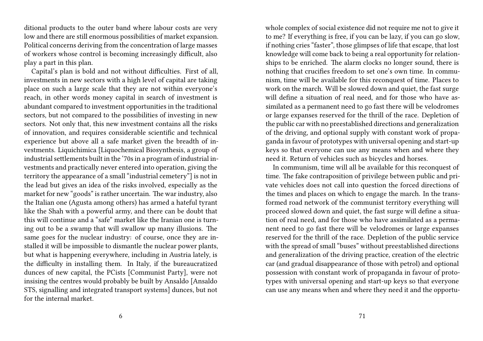ditional products to the outer band where labour costs are very low and there are still enormous possibilities of market expansion. Political concerns deriving from the concentration of large masses of workers whose control is becoming increasingly difficult, also play a part in this plan.

Capital's plan is bold and not without difficulties. First of all, investments in new sectors with a high level of capital are taking place on such a large scale that they are not within everyone's reach, in other words money capital in search of investment is abundant compared to investment opportunities in the traditional sectors, but not compared to the possibilities of investing in new sectors. Not only that, this new investment contains all the risks of innovation, and requires considerable scientific and technical experience but above all a safe market given the breadth of investments. Liquichimica [Liquochemical Biosynthesis, a group of industrial settlements built in the '70s in a program of industrial investments and practically never entered into operation, giving the territory the appearance of a small "industrial cemetery"] is not in the lead but gives an idea of the risks involved, especially as the market for new "goods" is rather uncertain. The war industry, also the Italian one (Agusta among others) has armed a hateful tyrant like the Shah with a powerful army, and there can be doubt that this will continue and a "safe" market like the Iranian one is turning out to be a swamp that will swallow up many illusions. The same goes for the nuclear industry: of course, once they are installed it will be impossible to dismantle the nuclear power plants, but what is happening everywhere, including in Austria lately, is the difficulty in installing them. In Italy, if the bureaucratized dunces of new capital, the PCists [Communist Party], were not insising the centres would probably be built by Ansaldo [Ansaldo STS, signalling and integrated transport systems] dunces, but not for the internal market.

whole complex of social existence did not require me not to give it to me? If everything is free, if you can be lazy, if you can go slow, if nothing cries "faster", those glimpses of life that escape, that lost knowledge will come back to being a real opportunity for relationships to be enriched. The alarm clocks no longer sound, there is nothing that crucifies freedom to set one's own time. In communism, time will be available for this reconquest of time. Places to work on the march. Will be slowed down and quiet, the fast surge will define a situation of real need, and for those who have assimilated as a permanent need to go fast there will be velodromes or large expanses reserved for the thrill of the race. Depletion of the public car with no preestablished directions and generalization of the driving, and optional supply with constant work of propaganda in favour of prototypes with universal opening and start-up keys so that everyone can use any means when and where they need it. Return of vehicles such as bicycles and horses.

In communism, time will all be available for this reconquest of time. The fake contraposition of privilege between public and private vehicles does not call into question the forced directions of the times and places on which to engage the march. In the transformed road network of the communist territory everything will proceed slowed down and quiet, the fast surge will define a situation of real need, and for those who have assimilated as a permanent need to go fast there will be velodromes or large expanses reserved for the thrill of the race. Depletion of the public service with the spread of small "buses" without preestablished directions and generalization of the driving practice, creation of the electric car (and gradual disappearance of those with petrol) and optional possession with constant work of propaganda in favour of prototypes with universal opening and start-up keys so that everyone can use any means when and where they need it and the opportu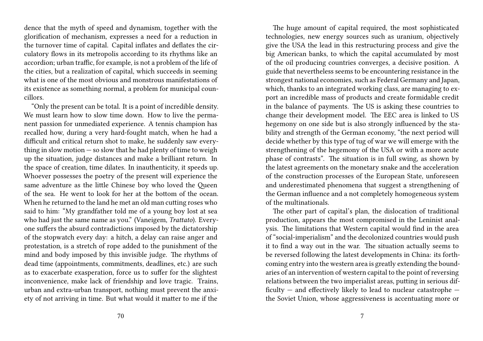dence that the myth of speed and dynamism, together with the glorification of mechanism, expresses a need for a reduction in the turnover time of capital. Capital inflates and deflates the circulatory flows in its metropolis according to its rhythms like an accordion; urban traffic, for example, is not a problem of the life of the cities, but a realization of capital, which succeeds in seeming what is one of the most obvious and monstrous manifestations of its existence as something normal, a problem for municipal councillors.

"Only the present can be total. It is a point of incredible density. We must learn how to slow time down. How to live the permanent passion for unmediated experience. A tennis champion has recalled how, during a very hard-fought match, when he had a difficult and critical return shot to make, he suddenly saw everything in slow motion  $-$  so slow that he had plenty of time to weigh up the situation, judge distances and make a brilliant return. In the space of creation, time dilates. In inauthenticity, it speeds up. Whoever possesses the poetry of the present will experience the same adventure as the little Chinese boy who loved the Queen of the sea. He went to look for her at the bottom of the ocean. When he returned to the land he met an old man cutting roses who said to him: "My grandfather told me of a young boy lost at sea who had just the same name as you." (Vaneigem, *Trattato*). Everyone suffers the absurd contradictions imposed by the dictatorship of the stopwatch every day: a hitch, a delay can raise anger and protestation, is a stretch of rope added to the punishment of the mind and body imposed by this invisible judge. The rhythms of dead time (appointments, commitments, deadlines, etc.) are such as to exacerbate exasperation, force us to suffer for the slightest inconvenience, make lack of friendship and love tragic. Trains, urban and extra-urban transport, nothing must prevent the anxiety of not arriving in time. But what would it matter to me if the

The huge amount of capital required, the most sophisticated technologies, new energy sources such as uranium, objectively give the USA the lead in this restructuring process and give the big American banks, to which the capital accumulated by most of the oil producing countries converges, a decisive position. A guide that nevertheless seems to be encountering resistance in the strongest national economies, such as Federal Germany and Japan, which, thanks to an integrated working class, are managing to export an incredible mass of products and create formidable credit in the balance of payments. The US is asking these countries to change their development model. The EEC area is linked to US hegemony on one side but is also strongly influenced by the stability and strength of the German economy, "the next period will decide whether by this type of tug of war we will emerge with the strengthening of the hegemony of the USA or with a more acute phase of contrasts". The situation is in full swing, as shown by the latest agreements on the monetary snake and the acceleration of the construction processes of the European State, unforeseen and underestimated phenomena that suggest a strengthening of the German influence and a not completely homogeneous system of the multinationals.

The other part of capital's plan, the dislocation of traditional production, appears the most compromised in the Leninist analysis. The limitations that Western capital would find in the area of "social-imperialism" and the decolonized countries would push it to find a way out in the war. The situation actually seems to be reversed following the latest developments in China: its forthcoming entry into the western area is greatly extending the boundaries of an intervention of western capital to the point of reversing relations between the two imperialist areas, putting in serious difficulty — and effectively likely to lead to nuclear catastrophe the Soviet Union, whose aggressiveness is accentuating more or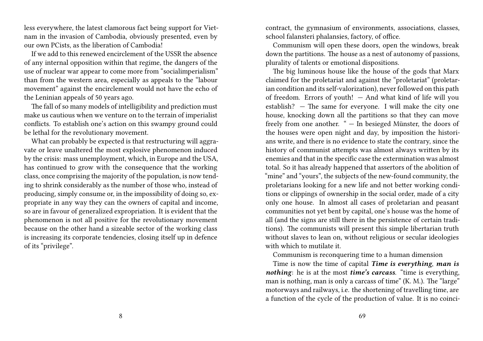less everywhere, the latest clamorous fact being support for Vietnam in the invasion of Cambodia, obviously presented, even by our own PCists, as the liberation of Cambodia!

If we add to this renewed encirclement of the USSR the absence of any internal opposition within that regime, the dangers of the use of nuclear war appear to come more from "socialimperialism" than from the western area, especially as appeals to the "labour movement" against the encirclement would not have the echo of the Leninian appeals of 50 years ago.

The fall of so many models of intelligibility and prediction must make us cautious when we venture on to the terrain of imperialist conflicts. To establish one's action on this swampy ground could be lethal for the revolutionary movement.

What can probably be expected is that restructuring will aggravate or leave unaltered the most explosive phenomenon induced by the crisis: mass unemployment, which, in Europe and the USA, has continued to grow with the consequence that the working class, once comprising the majority of the population, is now tending to shrink considerably as the number of those who, instead of producing, simply consume or, in the impossibility of doing so, expropriate in any way they can the owners of capital and income, so are in favour of generalized expropriation. It is evident that the phenomenon is not all positive for the revolutionary movement because on the other hand a sizeable sector of the working class is increasing its corporate tendencies, closing itself up in defence of its "privilege".

contract, the gymnasium of environments, associations, classes, school falansteri phalansies, factory, of office.

Communism will open these doors, open the windows, break down the partitions. The house as a nest of autonomy of passions, plurality of talents or emotional dispositions.

The big luminous house like the house of the gods that Marx claimed for the proletariat and against the "proletariat" (proletarian condition and its self-valorization), never followed on this path of freedom. Errors of youth! — And what kind of life will you establish? — The same for everyone. I will make the city one house, knocking down all the partitions so that they can move freely from one another. " — In besieged Münster, the doors of the houses were open night and day, by imposition the historians write, and there is no evidence to state the contrary, since the history of communist attempts was almost always written by its enemies and that in the specific case the extermination was almost total. So it has already happened that assertors of the abolition of "mine" and "yours", the subjects of the new-found community, the proletarians looking for a new life and not better working conditions or clippings of ownership in the social order, made of a city only one house. In almost all cases of proletarian and peasant communities not yet bent by capital, one's house was the home of all (and the signs are still there in the persistence of certain traditions). The communists will present this simple libertarian truth without slaves to lean on, without religious or secular ideologies with which to mutilate it.

Communism is reconquering time to a human dimension

Time is now the time of capital *Time is everything*, *man is nothing*: he is at the most *time's carcass*. "time is everything, man is nothing, man is only a carcass of time" (K. M.). The "large" motorways and railways, i.e. the shortening of travelling time, are a function of the cycle of the production of value. It is no coinci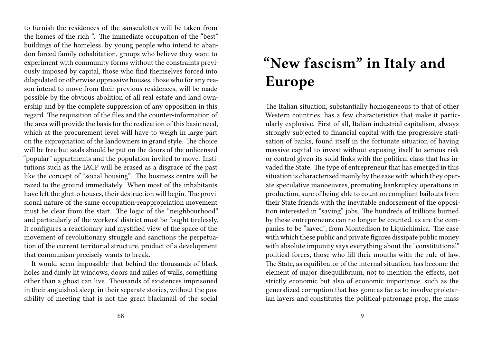to furnish the residences of the sansculottes will be taken from the homes of the rich ". The immediate occupation of the "best" buildings of the homeless, by young people who intend to abandon forced family cohabitation, groups who believe they want to experiment with community forms without the constraints previously imposed by capital, those who find themselves forced into dilapidated or otherwise oppressive houses, those who for any reason intend to move from their previous residences, will be made possible by the obvious abolition of all real estate and land ownership and by the complete suppression of any opposition in this regard. The requisition of the files and the counter-information of the area will provide the basis for the realization of this basic need, which at the procurement level will have to weigh in large part on the expropriation of the landowners in grand style. The choice will be free but seals should be put on the doors of the unlicensed "popular" appartments and the population invited to move. Institutions such as the IACP will be erased as a disgrace of the past like the concept of "social housing". The business centre will be razed to the ground immediately. When most of the inhabitants have left the ghetto houses, their destruction will begin. The provisional nature of the same occupation-reappropriation movement must be clear from the start. The logic of the "neighbourhood" and particularly of the workers' district must be fought tirelessly. It configures a reactionary and mystified view of the space of the movement of revolutionary struggle and sanctions the perpetuation of the current territorial structure, product of a development that communism precisely wants to break.

It would seem impossible that behind the thousands of black holes and dimly lit windows, doors and miles of walls, something other than a ghost can live. Thousands of existences imprisoned in their anguished sleep, in their separate stories, without the possibility of meeting that is not the great blackmail of the social

# **"New fascism" in Italy and Europe**

The Italian situation, substantially homogeneous to that of other Western countries, has a few characteristics that make it particularly explosive. First of all, Italian industrial capitalism, always strongly subjected to financial capital with the progressive statisation of banks, found itself in the fortunate situation of having massive capital to invest without exposing itself to serious risk or control given its solid links with the political class that has invaded the State. The type of entrepreneur that has emerged in this situation is characterized mainly by the ease with which they operate speculative manoeuvres, promoting bankruptcy operations in production, sure of being able to count on compliant bailouts from their State friends with the inevitable endorsement of the opposition interested in "saving" jobs. The hundreds of trillions burned by these entrepreneurs can no longer be counted, as are the companies to be "saved", from Montedison to Liquichimica. The ease with which these public and private figures dissipate public money with absolute impunity says everything about the "constitutional" political forces, those who fill their mouths with the rule of law. The State, as equilibrator of the internal situation, has become the element of major disequilibrium, not to mention the effects, not strictly economic but also of economic importance, such as the generalized corruption that has gone as far as to involve proletarian layers and constitutes the political-patronage prop, the mass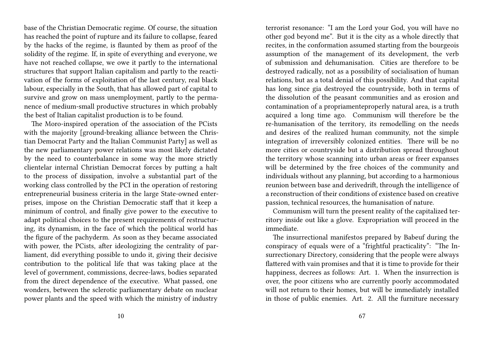base of the Christian Democratic regime. Of course, the situation has reached the point of rupture and its failure to collapse, feared by the hacks of the regime, is flaunted by them as proof of the solidity of the regime. If, in spite of everything and everyone, we have not reached collapse, we owe it partly to the international structures that support Italian capitalism and partly to the reactivation of the forms of exploitation of the last century, real black labour, especially in the South, that has allowed part of capital to survive and grow on mass unemployment, partly to the permanence of medium-small productive structures in which probably the best of Italian capitalist production is to be found.

The Moro-inspired operation of the association of the PCists with the majority [ground-breaking alliance between the Christian Democrat Party and the Italian Communist Party] as well as the new parliamentary power relations was most likely dictated by the need to counterbalance in some way the more strictly clientelar internal Christian Democrat forces by putting a halt to the process of dissipation, involve a substantial part of the working class controlled by the PCI in the operation of restoring entrepreneurial business criteria in the large State-owned enterprises, impose on the Christian Democratic staff that it keep a minimum of control, and finally give power to the executive to adapt political choices to the present requirements of restructuring, its dynamism, in the face of which the political world has the figure of the pachyderm. As soon as they became associated with power, the PCists, after ideologizing the centrality of parliament, did everything possible to undo it, giving their decisive contribution to the political life that was taking place at the level of government, commissions, decree-laws, bodies separated from the direct dependence of the executive. What passed, one wonders, between the sclerotic parliamentary debate on nuclear power plants and the speed with which the ministry of industry

terrorist resonance: "I am the Lord your God, you will have no other god beyond me". But it is the city as a whole directly that recites, in the conformation assumed starting from the bourgeois assumption of the management of its development, the verb of submission and dehumanisation. Cities are therefore to be destroyed radically, not as a possibility of socialisation of human relations, but as a total denial of this possibility. And that capital has long since gia destroyed the countryside, both in terms of the dissolution of the peasant communities and as erosion and contamination of a propriamenteproperly natural area, is a truth acquired a long time ago. Communism will therefore be the re-humanisation of the territory, its remodelling on the needs and desires of the realized human community, not the simple integration of irreversibly colonized entities. There will be no more cities or countryside but a distribution spread throughout the territory whose scanning into urban areas or freer expanses will be determined by the free choices of the community and individuals without any planning, but according to a harmonious reunion between base and derivedrift, through the intelligence of a reconstruction of their conditions of existence based on creative passion, technical resources, the humanisation of nature.

Communism will turn the present reality of the capitalized territory inside out like a glove. Expropriation will proceed in the immediate.

The insurrectional manifestos prepared by Babeuf during the conspiracy of equals were of a "frightful practicality": "The Insurrectionary Directory, considering that the people were always flattered with vain promises and that it is time to provide for their happiness, decrees as follows: Art. 1. When the insurrection is over, the poor citizens who are currently poorly accommodated will not return to their homes, but will be immediately installed in those of public enemies. Art. 2. All the furniture necessary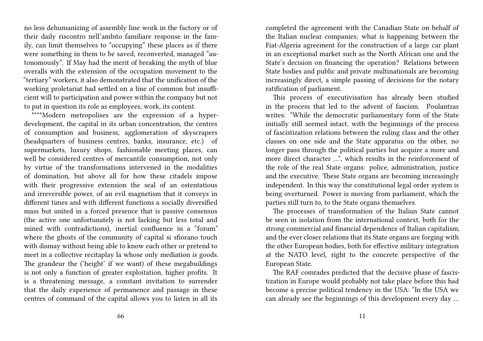no less dehumanizing of assembly line work in the factory or of their daily riscontro nell'ambito familiare response in the family, can limit themselves to "occupying" these places as if there were something in them to be saved, reconverted, managed "autonomously". If May had the merit of breaking the myth of blue overalls with the extension of the occupation movement to the "tertiary" workers, it also demonstrated that the unification of the working proletariat had settled on a line of common but insufficient will to participation and power within the company but not to put in question its role as employees, work, its content.

\*\*\*\*Modern metropolises are the expression of a hyperdevelopment, the capital in its urban concentration, the centres of consumption and business, agglomeration of skyscrapers (headquarters of business centres, banks, insurance, etc.) of supermarkets, luxury shops, fashionable meeting places, can well be considered centres of mercantile consumption, not only by virtue of the transformations intervened in the modalities of domination, but above all for how these citadels impose with their progressive extension the seal of an ostentatious and irreversible power, of an evil magnetism that it conveys in different times and with different functions a socially diversified mass but united in a forced presence that is passive consensus (the active one unfortunately is not lacking but less total and mined with contradictions), inertial confluence in a "forum" where the ghosts of the community of capital si sfiorano touch with dismay without being able to know each other or pretend to meet in a collective recitaplay la whose only mediation is goods. The grandeur the ('height' if we want) of these megabuildings is not only a function of greater exploitation, higher profits. It is a threatening message, a constant invitation to surrender that the daily experience of permanence and passage in these centres of command of the capital allows you to listen in all its

completed the agreement with the Canadian State on behalf of the Italian nuclear companies; what is happening between the Fiat-Algeria agreement for the construction of a large car plant in an exceptional market such as the North African one and the State's decision on financing the operation? Relations between State bodies and public and private multinationals are becoming increasingly direct, a simple passing of decisions for the notary ratification of parliament.

This process of executivisation has already been studied in the process that led to the advent of fascism. Poulantzas writes: "While the democratic parliamentary form of the State initially still seemed intact, with the beginnings of the process of fascistization relations between the ruling class and the other classes on one side and the State apparatus on the other, no longer pass through the political parties but acquire a more and more direct character …", which results in the reinforcement of the role of the real State organs: police, administration, justice and the executive. These State organs are becoming increasingly independent. In this way the constitutional legal order system is being overturned. Power is moving from parliament, which the parties still turn to, to the State organs themselves.

The processes of transformation of the Italian State cannot be seen in isolation from the international context, both for the strong commercial and financial dependence of Italian capitalism, and the ever closer relations that its State organs are forging with the other European bodies, both for effective military integration at the NATO level, right to the concrete perspective of the European State.

The RAF comrades predicted that the decisive phase of fascistization in Europe would probably not take place before this had become a precise political tendency in the USA: "In the USA we can already see the beginnings of this development every day …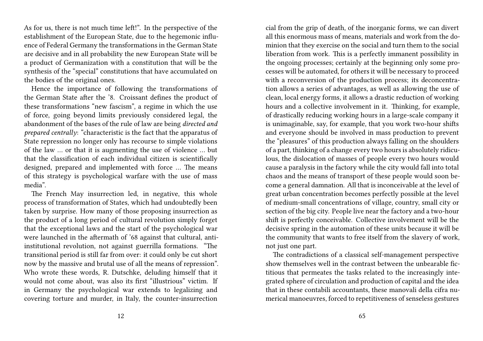As for us, there is not much time left!". In the perspective of the establishment of the European State, due to the hegemonic influence of Federal Germany the transformations in the German State are decisive and in all probability the new European State will be a product of Germanization with a constitution that will be the synthesis of the "special" constitutions that have accumulated on the bodies of the original ones.

Hence the importance of following the transformations of the German State after the '8. Croissant defines the product of these transformations "new fascism", a regime in which the use of force, going beyond limits previously considered legal, the abandonment of the bases of the rule of law are being *directed and prepared centrally*: "characteristic is the fact that the apparatus of State repression no longer only has recourse to simple violations of the law … or that it is augmenting the use of violence … but that the classification of each individual citizen is scientifically designed, prepared and implemented with force … The means of this strategy is psychological warfare with the use of mass media".

The French May insurrection led, in negative, this whole process of transformation of States, which had undoubtedly been taken by surprise. How many of those proposing insurrection as the product of a long period of cultural revolution simply forget that the exceptional laws and the start of the psychological war were launched in the aftermath of '68 against that cultural, antiinstitutional revolution, not against guerrilla formations. "The transitional period is still far from over: it could only be cut short now by the massive and brutal use of all the means of repression". Who wrote these words, R. Dutschke, deluding himself that it would not come about, was also its first "illustrious" victim. If in Germany the psychological war extends to legalizing and covering torture and murder, in Italy, the counter-insurrection

cial from the grip of death, of the inorganic forms, we can divert all this enormous mass of means, materials and work from the dominion that they exercise on the social and turn them to the social liberation from work. This is a perfectly immanent possibility in the ongoing processes; certainly at the beginning only some processes will be automated, for others it will be necessary to proceed with a reconversion of the production process; its deconcentration allows a series of advantages, as well as allowing the use of clean, local energy forms, it allows a drastic reduction of working hours and a collective involvement in it. Thinking, for example, of drastically reducing working hours in a large-scale company it is unimaginable, say, for example, that you work two-hour shifts and everyone should be involved in mass production to prevent the "pleasures" of this production always falling on the shoulders of a part, thinking of a change every two hours is absolutely ridiculous, the dislocation of masses of people every two hours would cause a paralysis in the factory while the city would fall into total chaos and the means of transport of these people would soon become a general damnation. All that is inconceivable at the level of great urban concentration becomes perfectly possible at the level of medium-small concentrations of village, country, small city or section of the big city. People live near the factory and a two-hour shift is perfectly conceivable. Collective involvement will be the decisive spring in the automation of these units because it will be the community that wants to free itself from the slavery of work, not just one part.

The contradictions of a classical self-management perspective show themselves well in the contrast between the unbearable fictitious that permeates the tasks related to the increasingly integrated sphere of circulation and production of capital and the idea that in these contabili accountants, these manovali della cifra numerical manoeuvres, forced to repetitiveness of senseless gestures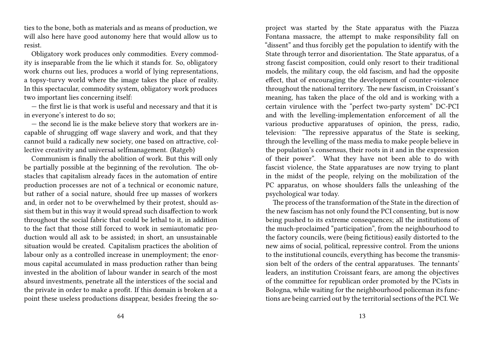ties to the bone, both as materials and as means of production, we will also here have good autonomy here that would allow us to resist.

Obligatory work produces only commodities. Every commodity is inseparable from the lie which it stands for. So, obligatory work churns out lies, produces a world of lying representations, a topsy-turvy world where the image takes the place of reality. In this spectacular, commodity system, obligatory work produces two important lies concerning itself:

— the first lie is that work is useful and necessary and that it is in everyone's interest to do so;

— the second lie is the make believe story that workers are incapable of shrugging off wage slavery and work, and that they cannot build a radically new society, one based on attractive, collective creativity and universal selfmanagement. (Ratgeb)

Communism is finally the abolition of work. But this will only be partially possible at the beginning of the revolution. The obstacles that capitalism already faces in the automation of entire production processes are not of a technical or economic nature, but rather of a social nature, should free up masses of workers and, in order not to be overwhelmed by their protest, should assist them but in this way it would spread such disaffection to work throughout the social fabric that could be lethal to it, in addition to the fact that those still forced to work in semiautomatic production would all ask to be assisted; in short, an unsustainable situation would be created. Capitalism practices the abolition of labour only as a controlled increase in unemployment; the enormous capital accumulated in mass production rather than being invested in the abolition of labour wander in search of the most absurd investments, penetrate all the interstices of the social and the private in order to make a profit. If this domain is broken at a point these useless productions disappear, besides freeing the soproject was started by the State apparatus with the Piazza Fontana massacre, the attempt to make responsibility fall on "dissent" and thus forcibly get the population to identify with the State through terror and disorientation. The State apparatus, of a strong fascist composition, could only resort to their traditional models, the military coup, the old fascism, and had the opposite effect, that of encouraging the development of counter-violence throughout the national territory. The new fascism, in Croissant's meaning, has taken the place of the old and is working with a certain virulence with the "perfect two-party system" DC-PCI and with the levelling-implementation enforcement of all the various productive apparatuses of opinion, the press, radio, television: "The repressive apparatus of the State is seeking, through the levelling of the mass media to make people believe in the population's consensus, their roots in it and in the expression of their power". What they have not been able to do with fascist violence, the State apparatuses are now trying to plant in the midst of the people, relying on the mobilization of the PC apparatus, on whose shoulders falls the unleashing of the psychological war today.

The process of the transformation of the State in the direction of the new fascism has not only found the PCI consenting, but is now being pushed to its extreme consequences; all the institutions of the much-proclaimed "participation", from the neighbourhood to the factory councils, were (being fictitious) easily distorted to the new aims of social, political, repressive control. From the unions to the institutional councils, everything has become the transmission belt of the orders of the central apparatuses. The tennants' leaders, an institution Croissant fears, are among the objectives of the committee for republican order promoted by the PCists in Bologna, while waiting for the neighbourhood policeman its functions are being carried out by the territorial sections of the PCI. We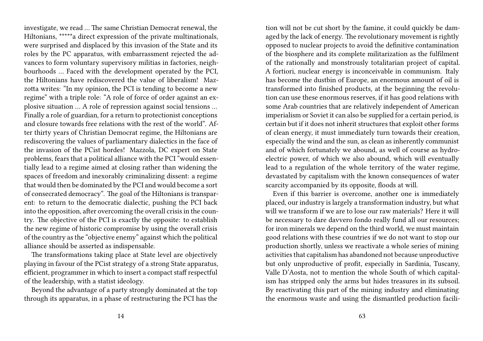investigate, we read … The same Christian Democrat renewal, the Hiltonians, \*\*\*\*\*a direct expression of the private multinationals, were surprised and displaced by this invasion of the State and its roles by the PC apparatus, with embarrassment rejected the advances to form voluntary supervisory militias in factories, neighbourhoods … Faced with the development operated by the PCI, the Hiltonians have rediscovered the value of liberalism! Mazzotta writes: "In my opinion, the PCI is tending to become a new regime" with a triple role: "A role of force of order against an explosive situation … A role of repression against social tensions … Finally a role of guardian, for a return to protectionist conceptions and closure towards free relations with the rest of the world". After thirty years of Christian Democrat regime, the Hiltonians are rediscovering the values of parliamentary dialectics in the face of the invasion of the PCist hordes! Mazzola, DC expert on State problems, fears that a political alliance with the PCI "would essentially lead to a regime aimed at closing rather than widening the spaces of freedom and inexorably criminalizing dissent: a regime that would then be dominated by the PCI and would become a sort of consecrated democracy". The goal of the Hiltonians is transparent: to return to the democratic dialectic, pushing the PCI back into the opposition, after overcoming the overall crisis in the country. The objective of the PCI is exactly the opposite: to establish the new regime of historic compromise by using the overall crisis of the country as the "objective enemy" against which the political alliance should be asserted as indispensable.

The transformations taking place at State level are objectively playing in favour of the PCist strategy of a strong State apparatus, efficient, programmer in which to insert a compact staff respectful of the leadership, with a statist ideology.

Beyond the advantage of a party strongly dominated at the top through its apparatus, in a phase of restructuring the PCI has the

tion will not be cut short by the famine, it could quickly be damaged by the lack of energy. The revolutionary movement is rightly opposed to nuclear projects to avoid the definitive contamination of the biosphere and its complete militarization as the fulfilment of the rationally and monstrously totalitarian project of capital. A fortiori, nuclear energy is inconceivable in communism. Italy has become the dustbin of Europe, an enormous amount of oil is transformed into finished products, at the beginning the revolution can use these enormous reserves, if it has good relations with some Arab countries that are relatively independent of American imperialism or Soviet it can also be supplied for a certain period, is certain but if it does not inherit structures that exploit other forms of clean energy, it must immediately turn towards their creation, especially the wind and the sun, as clean as inherently communist and of which fortunately we abound, as well of course as hydroelectric power, of which we also abound, which will eventually lead to a regulation of the whole territory of the water regime, devastated by capitalism with the known consequences of water scarcity accompanied by its opposite, floods at will.

Even if this barrier is overcome, another one is immediately placed, our industry is largely a transformation industry, but what will we transform if we are to lose our raw materials? Here it will be necessary to dare davvero fondo really fund all our resources; for iron minerals we depend on the third world, we must maintain good relations with these countries if we do not want to stop our production shortly, unless we reactivate a whole series of mining activities that capitalism has abandoned not because unproductive but only unproductive of profit, especially in Sardinia, Tuscany, Valle D'Aosta, not to mention the whole South of which capitalism has stripped only the arms but hides treasures in its subsoil. By reactivating this part of the mining industry and eliminating the enormous waste and using the dismantled production facili-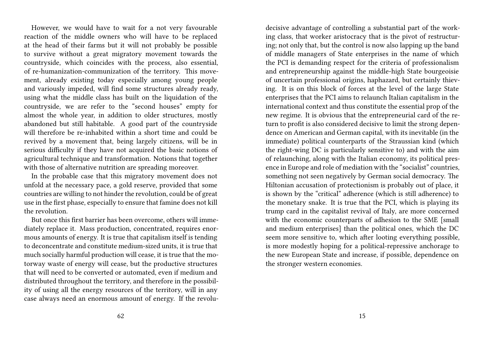However, we would have to wait for a not very favourable reaction of the middle owners who will have to be replaced at the head of their farms but it will not probably be possible to survive without a great migratory movement towards the countryside, which coincides with the process, also essential, of re-humanization-communization of the territory. This movement, already existing today especially among young people and variously impeded, will find some structures already ready, using what the middle class has built on the liquidation of the countryside, we are refer to the "second houses" empty for almost the whole year, in addition to older structures, mostly abandoned but still habitable. A good part of the countryside will therefore be re-inhabited within a short time and could be revived by a movement that, being largely citizens, will be in serious difficulty if they have not acquired the basic notions of agricultural technique and transformation. Notions that together with those of alternative nutrition are spreading moreover.

In the probable case that this migratory movement does not unfold at the necessary pace, a gold reserve, provided that some countries are willing to not hinder the revolution, could be of great use in the first phase, especially to ensure that famine does not kill the revolution.

But once this first barrier has been overcome, others will immediately replace it. Mass production, concentrated, requires enormous amounts of energy. It is true that capitalism itself is tending to deconcentrate and constitute medium-sized units, it is true that much socially harmful production will cease, it is true that the motorway waste of energy will cease, but the productive structures that will need to be converted or automated, even if medium and distributed throughout the territory, and therefore in the possibility of using all the energy resources of the territory, will in any case always need an enormous amount of energy. If the revoludecisive advantage of controlling a substantial part of the working class, that worker aristocracy that is the pivot of restructuring; not only that, but the control is now also lapping up the band of middle managers of State enterprises in the name of which the PCI is demanding respect for the criteria of professionalism and entrepreneurship against the middle-high State bourgeoisie of uncertain professional origins, haphazard, but certainly thieving. It is on this block of forces at the level of the large State enterprises that the PCI aims to relaunch Italian capitalism in the international context and thus constitute the essential prop of the new regime. It is obvious that the entrepreneurial card of the return to profit is also considered decisive to limit the strong dependence on American and German capital, with its inevitable (in the immediate) political counterparts of the Straussian kind (which the right-wing DC is particularly sensitive to) and with the aim of relaunching, along with the Italian economy, its political presence in Europe and role of mediation with the "socialist" countries, something not seen negatively by German social democracy. The Hiltonian accusation of protectionism is probably out of place, it is shown by the "critical" adherence (which is still adherence) to the monetary snake. It is true that the PCI, which is playing its trump card in the capitalist revival of Italy, are more concerned with the economic counterparts of adhesion to the SME [small and medium enterprises] than the political ones, which the DC seem more sensitive to, which after looting everything possible, is more modestly hoping for a political-repressive anchorage to the new European State and increase, if possible, dependence on the stronger western economies.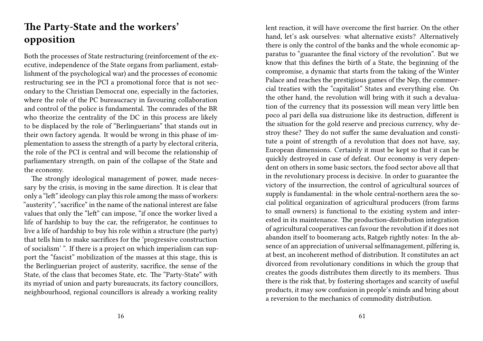### **The Party-State and the workers' opposition**

Both the processes of State restructuring (reinforcement of the executive, independence of the State organs from parliament, establishment of the psychological war) and the processes of economic restructuring see in the PCI a promotional force that is not secondary to the Christian Democrat one, especially in the factories, where the role of the PC bureaucracy in favouring collaboration and control of the police is fundamental. The comrades of the BR who theorize the centrality of the DC in this process are likely to be displaced by the role of "Berlinguerians" that stands out in their own factory agenda. It would be wrong in this phase of implementation to assess the strength of a party by electoral criteria, the role of the PCI is central and will become the relationship of parliamentary strength, on pain of the collapse of the State and the economy.

The strongly ideological management of power, made necessary by the crisis, is moving in the same direction. It is clear that only a "left" ideology can play this role among the mass of workers: "austerity", "sacrifice" in the name of the national interest are false values that only the "left" can impose, "if once the worker lived a life of hardship to buy the car, the refrigerator, he continues to live a life of hardship to buy his role within a structure (the party) that tells him to make sacrifices for the 'progressive construction of socialism' ". If there is a project on which imperialism can support the "fascist" mobilization of the masses at this stage, this is the Berlinguerian project of austerity, sacrifice, the sense of the State, of the class that becomes State, etc. The "Party-State" with its myriad of union and party bureaucrats, its factory councillors, neighbourhood, regional councillors is already a working reality

lent reaction, it will have overcome the first barrier. On the other hand, let's ask ourselves: what alternative exists? Alternatively there is only the control of the banks and the whole economic apparatus to "guarantee the final victory of the revolution". But we know that this defines the birth of a State, the beginning of the compromise, a dynamic that starts from the taking of the Winter Palace and reaches the prestigious games of the Nep, the commercial treaties with the "capitalist" States and everything else. On the other hand, the revolution will bring with it such a devaluation of the currency that its possession will mean very little ben poco al pari della sua distruzione like its destruction, different is the situation for the gold reserve and precious currency, why destroy these? They do not suffer the same devaluation and constitute a point of strength of a revolution that does not have, say, European dimensions. Certainly it must be kept so that it can be quickly destroyed in case of defeat. Our economy is very dependent on others in some basic sectors, the food sector above all that in the revolutionary process is decisive. In order to guarantee the victory of the insurrection, the control of agricultural sources of supply is fundamental: in the whole central-northern area the social political organization of agricultural producers (from farms to small owners) is functional to the existing system and interested in its maintenance. The production-distribution integration of agricultural cooperatives can favour the revolution if it does not abandon itself to boomerang acts, Ratgeb rightly notes: In the absence of an appreciation of universal selfmanagement, pilfering is, at best, an incoherent method of distribution. It constitutes an act divorced from revolutionary conditions in which the group that creates the goods distributes them directly to its members. Thus there is the risk that, by fostering shortages and scarcity of useful products, it may sow confusion in people's minds and bring about a reversion to the mechanics of commodity distribution.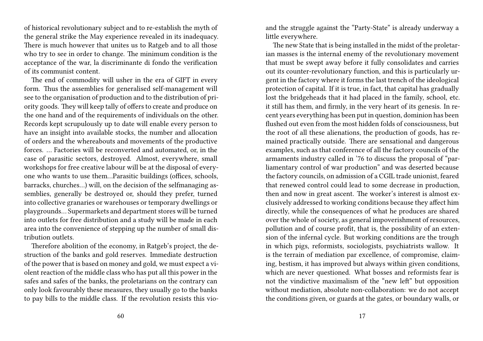of historical revolutionary subject and to re-establish the myth of the general strike the May experience revealed in its inadequacy. There is much however that unites us to Ratgeb and to all those who try to see in order to change. The minimum condition is the acceptance of the war, la discriminante di fondo the verification of its communist content.

The end of commodity will usher in the era of GIFT in every form. Thus the assemblies for generalised self-management will see to the organisation of production and to the distribution of priority goods. They will keep tally of offers to create and produce on the one hand and of the requirements of individuals on the other. Records kept scrupulously up to date will enable every person to have an insight into available stocks, the number and allocation of orders and the whereabouts and movements of the productive forces. … Factories will be reconverted and automated, or, in the case of parasitic sectors, destroyed. Almost, everywhere, small workshops for free creative labour will be at the disposal of everyone who wants to use them…Parasitic buildings (offices, schools, barracks, churches…) will, on the decision of the selfmanaging assemblies, generally be destroyed or, should they prefer, turned into collective granaries or warehouses or temporary dwellings or playgrounds… Supermarkets and department stores will be turned into outlets for free distribution and a study will be made in each area into the convenience of stepping up the number of small distribution outlets.

Therefore abolition of the economy, in Ratgeb's project, the destruction of the banks and gold reserves. Immediate destruction of the power that is based on money and gold, we must expect a violent reaction of the middle class who has put all this power in the safes and safes of the banks, the proletarians on the contrary can only look favourably these measures, they usually go to the banks to pay bills to the middle class. If the revolution resists this vio-

and the struggle against the "Party-State" is already underway a little everywhere.

The new State that is being installed in the midst of the proletarian masses is the internal enemy of the revolutionary movement that must be swept away before it fully consolidates and carries out its counter-revolutionary function, and this is particularly urgent in the factory where it forms the last trench of the ideological protection of capital. If it is true, in fact, that capital has gradually lost the bridgeheads that it had placed in the family, school, etc. it still has them, and firmly, in the very heart of its genesis. In recent years everything has been put in question, dominion has been flushed out even from the most hidden folds of consciousness, but the root of all these alienations, the production of goods, has remained practically outside. There are sensational and dangerous examples, such as that conference of all the factory councils of the armaments industry called in '76 to discuss the proposal of "parliamentary control of war production" and was deserted because the factory councils, on admission of a CGIL trade unionist, feared that renewed control could lead to some decrease in production, then and now in great ascent. The worker's interest is almost exclusively addressed to working conditions because they affect him directly, while the consequences of what he produces are shared over the whole of society, as general impoverishment of resources, pollution and of course profit, that is, the possibility of an extension of the infernal cycle. But working conditions are the trough in which pigs, reformists, sociologists, psychiatrists wallow. It is the terrain of mediation par excellence, of compromise, claiming, bestism, it has improved but always within given conditions, which are never questioned. What bosses and reformists fear is not the vindictive maximalism of the "new left" but opposition without mediation, absolute non-collaboration: we do not accept the conditions given, or guards at the gates, or boundary walls, or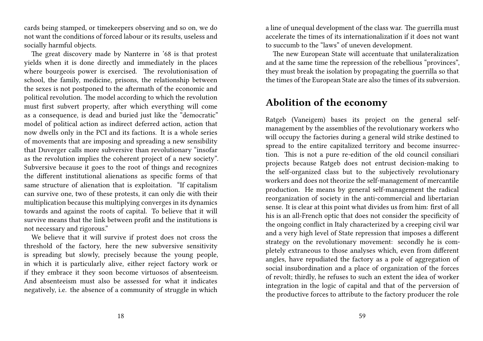cards being stamped, or timekeepers observing and so on, we do not want the conditions of forced labour or its results, useless and socially harmful objects.

The great discovery made by Nanterre in '68 is that protest yields when it is done directly and immediately in the places where bourgeois power is exercised. The revolutionisation of school, the family, medicine, prisons, the relationship between the sexes is not postponed to the aftermath of the economic and political revolution. The model according to which the revolution must first subvert property, after which everything will come as a consequence, is dead and buried just like the "democratic" model of political action as indirect deferred action, action that now dwells only in the PCI and its factions. It is a whole series of movements that are imposing and spreading a new sensibility that Duverger calls more subversive than revolutionary "insofar as the revolution implies the coherent project of a new society". Subversive because it goes to the root of things and recognizes the different institutional alienations as specific forms of that same structure of alienation that is exploitation. "If capitalism can survive one, two of these protests, it can only die with their multiplication because this multiplying converges in its dynamics towards and against the roots of capital. To believe that it will survive means that the link between profit and the institutions is not necessary and rigorous."

We believe that it will survive if protest does not cross the threshold of the factory, here the new subversive sensitivity is spreading but slowly, precisely because the young people, in which it is particularly alive, either reject factory work or if they embrace it they soon become virtuosos of absenteeism. And absenteeism must also be assessed for what it indicates negatively, i.e. the absence of a community of struggle in which

a line of unequal development of the class war. The guerrilla must accelerate the times of its internationalization if it does not want to succumb to the "laws" of uneven development.

The new European State will accentuate that unilateralization and at the same time the repression of the rebellious "provinces", they must break the isolation by propagating the guerrilla so that the times of the European State are also the times of its subversion.

#### **Abolition of the economy**

Ratgeb (Vaneigem) bases its project on the general selfmanagement by the assemblies of the revolutionary workers who will occupy the factories during a general wild strike destined to spread to the entire capitalized territory and become insurrection. This is not a pure re-edition of the old council consiliari projects because Ratgeb does not entrust decision-making to the self-organized class but to the subjectively revolutionary workers and does not theorize the self-management of mercantile production. He means by general self-management the radical reorganization of society in the anti-commercial and libertarian sense. It is clear at this point what divides us from him: first of all his is an all-French optic that does not consider the specificity of the ongoing conflict in Italy characterized by a creeping civil war and a very high level of State repression that imposes a different strategy on the revolutionary movement: secondly he is completely extraneous to those analyses which, even from different angles, have repudiated the factory as a pole of aggregation of social insubordination and a place of organization of the forces of revolt; thirdly, he refuses to such an extent the idea of worker integration in the logic of capital and that of the perversion of the productive forces to attribute to the factory producer the role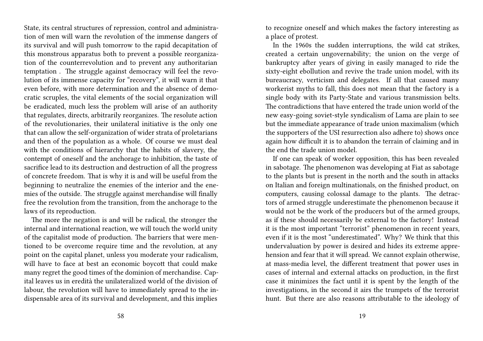State, its central structures of repression, control and administration of men will warn the revolution of the immense dangers of its survival and will push tomorrow to the rapid decapitation of this monstrous apparatus both to prevent a possible reorganization of the counterrevolution and to prevent any authoritarian temptation . The struggle against democracy will feel the revolution of its immense capacity for "recovery", it will warn it that even before, with more determination and the absence of democratic scruples, the vital elements of the social organization will be eradicated, much less the problem will arise of an authority that regulates, directs, arbitrarily reorganizes. The resolute action of the revolutionaries, their unilateral initiative is the only one that can allow the self-organization of wider strata of proletarians and then of the population as a whole. Of course we must deal with the conditions of hierarchy that the habits of slavery, the contempt of oneself and the anchorage to inhibition, the taste of sacrifice lead to its destruction and destruction of all the progress of concrete freedom. That is why it is and will be useful from the beginning to neutralize the enemies of the interior and the enemies of the outside. The struggle against merchandise will finally free the revolution from the transition, from the anchorage to the laws of its reproduction.

The more the negation is and will be radical, the stronger the internal and international reaction, we will touch the world unity of the capitalist mode of production. The barriers that were mentioned to be overcome require time and the revolution, at any point on the capital planet, unless you moderate your radicalism, will have to face at best an economic boycott that could make many regret the good times of the dominion of merchandise. Capital leaves us in eredità the unilateralized world of the division of labour, the revolution will have to immediately spread to the indispensable area of its survival and development, and this implies

to recognize oneself and which makes the factory interesting as a place of protest.

In the 1960s the sudden interruptions, the wild cat strikes, created a certain ungovernability; the union on the verge of bankruptcy after years of giving in easily managed to ride the sixty-eight ebollution and revive the trade union model, with its bureaucracy, verticism and delegates. If all that caused many workerist myths to fall, this does not mean that the factory is a single body with its Party-State and various transmission belts. The contradictions that have entered the trade union world of the new easy-going soviet-style syndicalism of Lama are plain to see but the immediate appearance of trade union maximalism (which the supporters of the USI resurrection also adhere to) shows once again how difficult it is to abandon the terrain of claiming and in the end the trade union model.

If one can speak of worker opposition, this has been revealed in sabotage. The phenomenon was developing at Fiat as sabotage to the plants but is present in the north and the south in attacks on Italian and foreign multinationals, on the finished product, on computers, causing colossal damage to the plants. The detractors of armed struggle underestimate the phenomenon because it would not be the work of the producers but of the armed groups, as if these should necessarily be external to the factory! Instead it is the most important "terrorist" phenomenon in recent years, even if it is the most "underestimated". Why? We think that this undervaluation by power is desired and hides its extreme apprehension and fear that it will spread. We cannot explain otherwise, at mass-media level, the different treatment that power uses in cases of internal and external attacks on production, in the first case it minimizes the fact until it is spent by the length of the investigations, in the second it airs the trumpets of the terrorist hunt. But there are also reasons attributable to the ideology of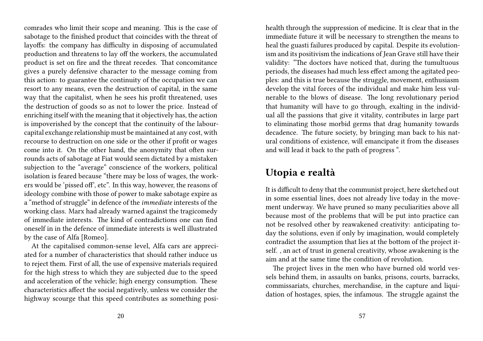comrades who limit their scope and meaning. This is the case of sabotage to the finished product that coincides with the threat of layoffs: the company has difficulty in disposing of accumulated production and threatens to lay off the workers, the accumulated product is set on fire and the threat recedes. That concomitance gives a purely defensive character to the message coming from this action: to guarantee the continuity of the occupation we can resort to any means, even the destruction of capital, in the same way that the capitalist, when he sees his profit threatened, uses the destruction of goods so as not to lower the price. Instead of enriching itself with the meaning that it objectively has, the action is impoverished by the concept that the continuity of the labourcapital exchange relationship must be maintained at any cost, with recourse to destruction on one side or the other if profit or wages come into it. On the other hand, the anonymity that often surrounds acts of sabotage at Fiat would seem dictated by a mistaken subjection to the "average" conscience of the workers, political isolation is feared because "there may be loss of wages, the workers would be 'pissed of', etc". In this way, however, the reasons of ideology combine with those of power to make sabotage expire as a "method of struggle" in defence of the *immediate* interests of the working class. Marx had already warned against the tragicomedy of immediate interests. The kind of contradictions one can find oneself in in the defence of immediate interests is well illustrated by the case of Alfa [Romeo].

At the capitalised common-sense level, Alfa cars are appreciated for a number of characteristics that should rather induce us to reject them. First of all, the use of expensive materials required for the high stress to which they are subjected due to the speed and acceleration of the vehicle; high energy consumption. These characteristics affect the social negatively, unless we consider the highway scourge that this speed contributes as something posihealth through the suppression of medicine. It is clear that in the immediate future it will be necessary to strengthen the means to heal the guasti failures produced by capital. Despite its evolutionism and its positivism the indications of Jean Grave still have their validity: "The doctors have noticed that, during the tumultuous periods, the diseases had much less effect among the agitated peoples: and this is true because the struggle, movement, enthusiasm develop the vital forces of the individual and make him less vulnerable to the blows of disease. The long revolutionary period that humanity will have to go through, exalting in the individual all the passions that give it vitality, contributes in large part to eliminating those morbid germs that drag humanity towards decadence. The future society, by bringing man back to his natural conditions of existence, will emancipate it from the diseases and will lead it back to the path of progress ".

#### **Utopia e realtà**

It is difficult to deny that the communist project, here sketched out in some essential lines, does not already live today in the movement underway. We have pruned so many peculiarities above all because most of the problems that will be put into practice can not be resolved other by reawakened creativity: anticipating today the solutions, even if only by imagination, would completely contradict the assumption that lies at the bottom of the project itself. , an act of trust in general creativity, whose awakening is the aim and at the same time the condition of revolution.

The project lives in the men who have burned old world vessels behind them, in assaults on banks, prisons, courts, barracks, commissariats, churches, merchandise, in the capture and liquidation of hostages, spies, the infamous. The struggle against the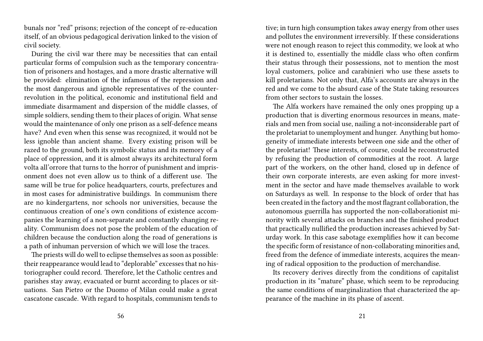bunals nor "red" prisons; rejection of the concept of re-education itself, of an obvious pedagogical derivation linked to the vision of civil society.

During the civil war there may be necessities that can entail particular forms of compulsion such as the temporary concentration of prisoners and hostages, and a more drastic alternative will be provided: elimination of the infamous of the repression and the most dangerous and ignoble representatives of the counterrevolution in the political, economic and institutional field and immediate disarmament and dispersion of the middle classes, of simple soldiers, sending them to their places of origin. What sense would the maintenance of only one prison as a self-defence means have? And even when this sense was recognized, it would not be less ignoble than ancient shame. Every existing prison will be razed to the ground, both its symbolic status and its memory of a place of oppression, and it is almost always its architectural form volta all'orrore that turns to the horror of punishment and imprisonment does not even allow us to think of a different use. The same will be true for police headquarters, courts, prefectures and in most cases for administrative buildings. In communism there are no kindergartens, nor schools nor universities, because the continuous creation of one's own conditions of existence accompanies the learning of a non-separate and constantly changing reality. Communism does not pose the problem of the education of children because the conduction along the road of generations is a path of inhuman perversion of which we will lose the traces.

The priests will do well to eclipse themselves as soon as possible: their reappearance would lead to "deplorable" excesses that no historiographer could record. Therefore, let the Catholic centres and parishes stay away, evacuated or burnt according to places or situations. San Pietro or the Duomo of Milan could make a great cascatone cascade. With regard to hospitals, communism tends to

tive; in turn high consumption takes away energy from other uses and pollutes the environment irreversibly. If these considerations were not enough reason to reject this commodity, we look at who it is destined to, essentially the middle class who often confirm their status through their possessions, not to mention the most loyal customers, police and carabinieri who use these assets to kill proletarians. Not only that, Alfa's accounts are always in the red and we come to the absurd case of the State taking resources from other sectors to sustain the losses.

The Alfa workers have remained the only ones propping up a production that is diverting enormous resources in means, materials and men from social use, nailing a not-inconsiderable part of the proletariat to unemployment and hunger. Anything but homogeneity of immediate interests between one side and the other of the proletariat! These interests, of course, could be reconstructed by refusing the production of commodities at the root. A large part of the workers, on the other hand, closed up in defence of their own corporate interests, are even asking for more investment in the sector and have made themselves available to work on Saturdays as well. In response to the block of order that has been created in the factory and the most flagrant collaboration, the autonomous guerrilla has supported the non-collaborationist minority with several attacks on branches and the finished product that practically nullified the production increases achieved by Saturday work. In this case sabotage exemplifies how it can become the specific form of resistance of non-collaborating minorities and, freed from the defence of immediate interests, acquires the meaning of radical opposition to the production of merchandise.

Its recovery derives directly from the conditions of capitalist production in its "mature" phase, which seem to be reproducing the same conditions of marginalization that characterized the appearance of the machine in its phase of ascent.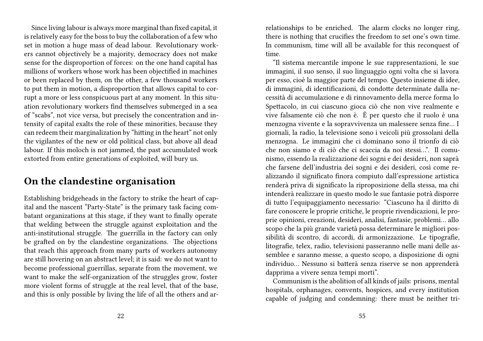Since living labour is always more marginal than fixed capital, it is relatively easy for the boss to buy the collaboration of a few who set in motion a huge mass of dead labour. Revolutionary workers cannot objectively be a majority, democracy does not make sense for the disproportion of forces: on the one hand capital has millions of workers whose work has been objectified in machines or been replaced by them, on the other, a few thousand workers to put them in motion, a disproportion that allows capital to corrupt a more or less conspicuous part at any moment. In this situation revolutionary workers find themselves submerged in a sea of "scabs", not vice versa, but precisely the concentration and intensity of capital exalts the role of these minorities, because they can redeem their marginalization by "hitting in the heart" not only the vigilantes of the new or old political class, but above all dead labour. If this moloch is not jammed, the past accumulated work extorted from entire generations of exploited, will bury us.

#### **On the clandestine organisation**

Establishing bridgeheads in the factory to strike the heart of capital and the nascent "Party-State" is the primary task facing combatant organizations at this stage, if they want to finally operate that welding between the struggle against exploitation and the anti-institutional struggle. The guerrilla in the factory can only be grafted on by the clandestine organizations. The objections that reach this approach from many parts of workers autonomy are still hovering on an abstract level; it is said: we do not want to become professional guerrillas, separate from the movement, we want to make the self-organization of the struggles grow, foster more violent forms of struggle at the real level, that of the base, and this is only possible by living the life of all the others and arrelationships to be enriched. The alarm clocks no longer ring, there is nothing that crucifies the freedom to set one's own time. In communism, time will all be available for this reconquest of time.

"Il sistema mercantile impone le sue rappresentazioni, le sue immagini, il suo senso, il suo linguaggio ogni volta che si lavora per esso, cioè la maggior parte del tempo. Questo insieme di idee, di immagini, di identificazioni, di condotte determinate dalla necessità di accumulazione e di rinnovamento della merce forma lo Spettacolo, in cui ciascuno gioca ciò che non vive realmente e vive falsamente ciò che non è. È per questo che il ruolo è una menzogna vivente e la sopravvivenza un malessere senza fine… I giornali, la radio, la televisione sono i veicoli più grossolani della menzogna. Le immagini che ci dominano sono il trionfo di ciò che non siamo e di ciò che ci scaccia da noi stessi…". Il comunismo, essendo la realizzazione dei sogni e dei desideri, non saprà che farsene dell'industria dei sogni e dei desideri, così come realizzando il significato finora compiuto dall'espressione artistica renderà priva di significato la riproposizione della stessa, ma chi intenderà realizzare in questo modo le sue fantasie potrà disporre di tutto l'equipaggiamento necessario: "Ciascuno ha il diritto di fare conoscere le proprie critiche, le proprie rivendicazioni, le proprie opinioni, creazioni, desideri, analisi, fantasie, problemi… allo scopo che la più grande varietà possa determinare le migliori possibilità di scontro, di accordi, di armonizzazione. Le tipografie, litografie, telex, radio, televisioni passeranno nelle mani delle assemblee e saranno messe, a questo scopo, a disposizione di ogni individuo… Nessuno si batterà senza riserve se non apprenderà dapprima a vivere senza tempi morti".

Communism is the abolition of all kinds of jails: prisons, mental hospitals, orphanages, convents, hospices, and every institution capable of judging and condemning: there must be neither tri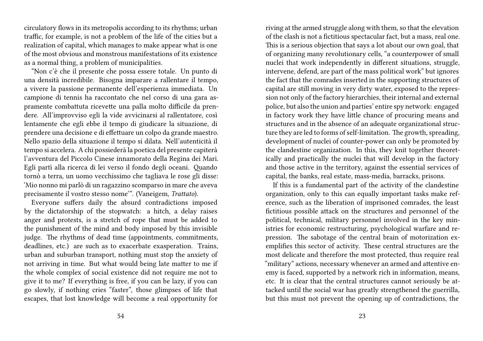circulatory flows in its metropolis according to its rhythms; urban traffic, for example, is not a problem of the life of the cities but a realization of capital, which manages to make appear what is one of the most obvious and monstrous manifestations of its existence as a normal thing, a problem of municipalities.

"Non c'è che il presente che possa essere totale. Un punto di una densità incredibile. Bisogna imparare a rallentare il tempo, a vivere la passione permanente dell'esperienza immediata. Un campione di tennis ha raccontato che nel corso di una gara aspramente combattuta ricevette una palla molto difficile da prendere. All'improvviso egli la vide avvicinarsi al rallentatore, così lentamente che egli ebbe il tempo di giudicare la situazione, di prendere una decisione e di effettuare un colpo da grande maestro. Nello spazio della situazione il tempo si dilata. Nell'autenticità il tempo si accelera. A chi possiederà la poetica del presente capiterà l'avventura del Piccolo Cinese innamorato della Regina dei Mari. Egli partì alla ricerca di lei verso il fondo degli oceani. Quando tornò a terra, un uomo vecchissimo che tagliava le rose gli disse: 'Mio nonno mi parlò di un ragazzino scomparso in mare che aveva precisamente il vostro stesso nome'". (Vaneigem, *Trattato*).

Everyone suffers daily the absurd contradictions imposed by the dictatorship of the stopwatch: a hitch, a delay raises anger and protests, is a stretch of rope that must be added to the punishment of the mind and body imposed by this invisible judge. The rhythms of dead time (appointments, commitments, deadlines, etc.) are such as to exacerbate exasperation. Trains, urban and suburban transport, nothing must stop the anxiety of not arriving in time. But what would being late matter to me if the whole complex of social existence did not require me not to give it to me? If everything is free, if you can be lazy, if you can go slowly, if nothing cries "faster", those glimpses of life that escapes, that lost knowledge will become a real opportunity for riving at the armed struggle along with them, so that the elevation of the clash is not a fictitious spectacular fact, but a mass, real one. This is a serious objection that says a lot about our own goal, that of organizing many revolutionary cells, "a counterpower of small nuclei that work independently in different situations, struggle, intervene, defend, are part of the mass political work" but ignores the fact that the comrades inserted in the supporting structures of capital are still moving in very dirty water, exposed to the repression not only of the factory hierarchies, their internal and external police, but also the union and parties' entire spy network: engaged in factory work they have little chance of procuring means and structures and in the absence of an adequate organizational structure they are led to forms of self-limitation. The growth, spreading, development of nuclei of counter-power can only be promoted by the clandestine organization. In this, they knit together theoretically and practically the nuclei that will develop in the factory and those active in the territory, against the essential services of capital, the banks, real estate, mass-media, barracks, prisons.

If this is a fundamental part of the activity of the clandestine organization, only to this can equally important tasks make reference, such as the liberation of imprisoned comrades, the least fictitious possible attack on the structures and personnel of the political, technical, military personnel involved in the key ministries for economic restructuring, psychological warfare and repression. The sabotage of the central brain of motorization exemplifies this sector of activity. These central structures are the most delicate and therefore the most protected, thus require real "military" actions, necessary whenever an armed and attentive enemy is faced, supported by a network rich in information, means, etc. It is clear that the central structures cannot seriously be attacked until the social war has greatly strengthened the guerrilla, but this must not prevent the opening up of contradictions, the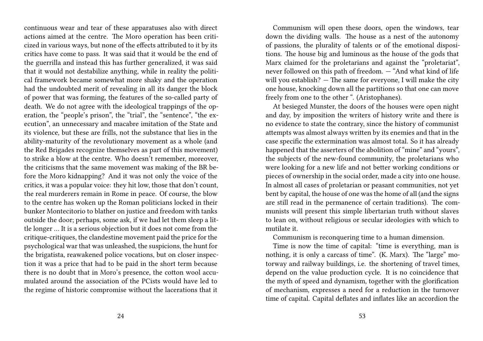continuous wear and tear of these apparatuses also with direct actions aimed at the centre. The Moro operation has been criticized in various ways, but none of the effects attributed to it by its critics have come to pass. It was said that it would be the end of the guerrilla and instead this has further generalized, it was said that it would not destabilize anything, while in reality the political framework became somewhat more shaky and the operation had the undoubted merit of revealing in all its danger the block of power that was forming, the features of the so-called party of death. We do not agree with the ideological trappings of the operation, the "people's prison", the "trial", the "sentence", "the execution", an unnecessary and macabre imitation of the State and its violence, but these are frills, not the substance that lies in the ability-maturity of the revolutionary movement as a whole (and the Red Brigades recognize themselves as part of this movement) to strike a blow at the centre. Who doesn't remember, moreover, the criticisms that the same movement was making of the BR before the Moro kidnapping? And it was not only the voice of the critics, it was a popular voice: they hit low, those that don't count, the real murderers remain in Rome in peace. Of course, the blow to the centre has woken up the Roman politicians locked in their bunker Montecitorio to blather on justice and freedom with tanks outside the door; perhaps, some ask, if we had let them sleep a little longer … It is a serious objection but it does not come from the critique-critiques, the clandestine movement paid the price for the psychological war that was unleashed, the suspicions, the hunt for the brigatista, reawakened police vocations, but on closer inspection it was a price that had to be paid in the short term because there is no doubt that in Moro's presence, the cotton wool accumulated around the association of the PCists would have led to the regime of historic compromise without the lacerations that it

Communism will open these doors, open the windows, tear down the dividing walls. The house as a nest of the autonomy of passions, the plurality of talents or of the emotional dispositions. The house big and luminous as the house of the gods that Marx claimed for the proletarians and against the "proletariat", never followed on this path of freedom. — "And what kind of life will you establish?  $-$  The same for everyone. I will make the city one house, knocking down all the partitions so that one can move freely from one to the other ". (Aristophanes).

At besieged Munster, the doors of the houses were open night and day, by imposition the writers of history write and there is no evidence to state the contrary, since the history of communist attempts was almost always written by its enemies and that in the case specific the extermination was almost total. So it has already happened that the asserters of the abolition of "mine" and "yours", the subjects of the new-found community, the proletarians who were looking for a new life and not better working conditions or pieces of ownership in the social order, made a city into one house. In almost all cases of proletarian or peasant communities, not yet bent by capital, the house of one was the home of all (and the signs are still read in the permanence of certain traditions). The communists will present this simple libertarian truth without slaves to lean on, without religious or secular ideologies with which to mutilate it.

Communism is reconquering time to a human dimension.

Time is now the time of capital: "time is everything, man is nothing, it is only a carcass of time". (K. Marx). The "large" motorway and railway buildings, i.e. the shortening of travel times, depend on the value production cycle. It is no coincidence that the myth of speed and dynamism, together with the glorification of mechanism, expresses a need for a reduction in the turnover time of capital. Capital deflates and inflates like an accordion the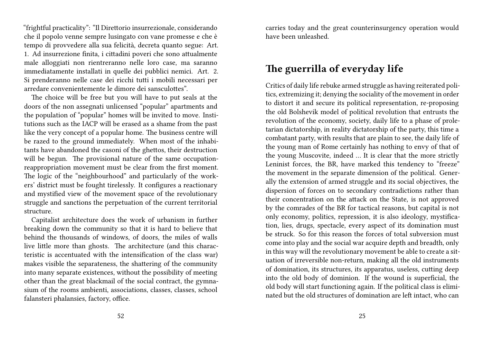"frightful practicality": "Il Direttorio insurrezionale, considerando che il popolo venne sempre lusingato con vane promesse e che è tempo di provvedere alla sua felicità, decreta quanto segue: Art. 1. Ad insurrezione finita, i cittadini poveri che sono attualmente male alloggiati non rientreranno nelle loro case, ma saranno immediatamente installati in quelle dei pubblici nemici. Art. 2. Si prenderanno nelle case dei ricchi tutti i mobili necessari per arredare convenientemente le dimore dei sansculottes".

The choice will be free but you will have to put seals at the doors of the non assegnati unlicensed "popular" apartments and the population of "popular" homes will be invited to move. Institutions such as the IACP will be erased as a shame from the past like the very concept of a popular home. The business centre will be razed to the ground immediately. When most of the inhabitants have abandoned the casoni of the ghettos, their destruction will be begun. The provisional nature of the same occupationreappropriation movement must be clear from the first moment. The logic of the "neighbourhood" and particularly of the workers' district must be fought tirelessly. It configures a reactionary and mystified view of the movement space of the revolutionary struggle and sanctions the perpetuation of the current territorial structure.

Capitalist architecture does the work of urbanism in further breaking down the community so that it is hard to believe that behind the thousands of windows, of doors, the miles of walls live little more than ghosts. The architecture (and this characteristic is accentuated with the intensification of the class war) makes visible the separateness, the shattering of the community into many separate existences, without the possibility of meeting other than the great blackmail of the social contract, the gymnasium of the rooms ambienti, associations, classes, classes, school falansteri phalansies, factory, office.

carries today and the great counterinsurgency operation would have been unleashed.

#### **The guerrilla of everyday life**

Critics of daily life rebuke armed struggle as having reiterated politics, extremizing it; denying the sociality of the movement in order to distort it and secure its political representation, re-proposing the old Bolshevik model of political revolution that entrusts the revolution of the economy, society, daily life to a phase of proletarian dictatorship, in reality dictatorship of the party, this time a combatant party, with results that are plain to see, the daily life of the young man of Rome certainly has nothing to envy of that of the young Muscovite, indeed … It is clear that the more strictly Leninist forces, the BR, have marked this tendency to "freeze" the movement in the separate dimension of the political. Generally the extension of armed struggle and its social objectives, the dispersion of forces on to secondary contradictions rather than their concentration on the attack on the State, is not approved by the comrades of the BR for tactical reasons, but capital is not only economy, politics, repression, it is also ideology, mystification, lies, drugs, spectacle, every aspect of its domination must be struck. So for this reason the forces of total subversion must come into play and the social war acquire depth and breadth, only in this way will the revolutionary movement be able to create a situation of irreversible non-return, making all the old instruments of domination, its structures, its apparatus, useless, cutting deep into the old body of dominion. If the wound is superficial, the old body will start functioning again. If the political class is eliminated but the old structures of domination are left intact, who can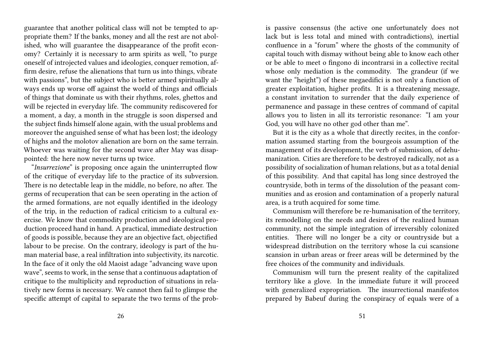guarantee that another political class will not be tempted to appropriate them? If the banks, money and all the rest are not abolished, who will guarantee the disappearance of the profit economy? Certainly it is necessary to arm spirits as well, "to purge oneself of introjected values and ideologies, conquer remotion, affirm desire, refuse the alienations that turn us into things, vibrate with passions", but the subject who is better armed spiritually always ends up worse off against the world of things and officials of things that dominate us with their rhythms, roles, ghettos and will be rejected in everyday life. The community rediscovered for a moment, a day, a month in the struggle is soon dispersed and the subject finds himself alone again, with the usual problems and moreover the anguished sense of what has been lost; the ideology of highs and the molotov alienation are born on the same terrain. Whoever was waiting for the second wave after May was disappointed: the here now never turns up twice.

"*Insurrezione*" is proposing once again the uninterrupted flow of the critique of everyday life to the practice of its subversion. There is no detectable leap in the middle, no before, no after. The germs of recuperation that can be seen operating in the action of the armed formations, are not equally identified in the ideology of the trip, in the reduction of radical criticism to a cultural exercise. We know that commodity production and ideological production proceed hand in hand. A practical, immediate destruction of goods is possible, because they are an objective fact, objectified labour to be precise. On the contrary, ideology is part of the human material base, a real infiltration into subjectivity, its narcotic. In the face of it only the old Maoist adage "advancing wave upon wave", seems to work, in the sense that a continuous adaptation of critique to the multiplicity and reproduction of situations in relatively new forms is necessary. We cannot then fail to glimpse the specific attempt of capital to separate the two terms of the prob-

is passive consensus (the active one unfortunately does not lack but is less total and mined with contradictions), inertial confluence in a "forum" where the ghosts of the community of capital touch with dismay without being able to know each other or be able to meet o fingono di incontrarsi in a collective recital whose only mediation is the commodity. The grandeur (if we want the "height") of these megaedifici is not only a function of greater exploitation, higher profits. It is a threatening message, a constant invitation to surrender that the daily experience of permanence and passage in these centres of command of capital allows you to listen in all its terroristic resonance: "I am your God, you will have no other god other than me".

But it is the city as a whole that directly recites, in the conformation assumed starting from the bourgeois assumption of the management of its development, the verb of submission, of dehumanization. Cities are therefore to be destroyed radically, not as a possibility of socialization of human relations, but as a total denial of this possibility. And that capital has long since destroyed the countryside, both in terms of the dissolution of the peasant communities and as erosion and contamination of a properly natural area, is a truth acquired for some time.

Communism will therefore be re-humanisation of the territory, its remodelling on the needs and desires of the realized human community, not the simple integration of irreversibly colonized entities. There will no longer be a city or countryside but a widespread distribution on the territory whose la cui scansione scansion in urban areas or freer areas will be determined by the free choices of the community and individuals.

Communism will turn the present reality of the capitalized territory like a glove. In the immediate future it will proceed with generalized expropriation. The insurrectional manifestos prepared by Babeuf during the conspiracy of equals were of a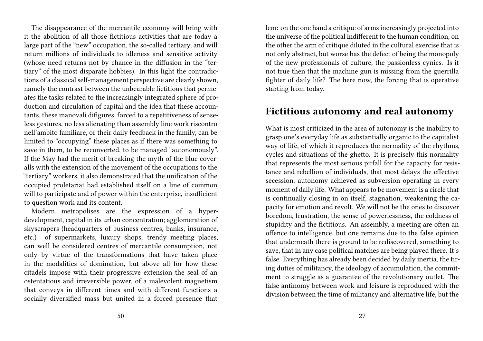The disappearance of the mercantile economy will bring with it the abolition of all those fictitious activities that are today a large part of the "new" occupation, the so-called tertiary, and will return millions of individuals to idleness and sensitive activity (whose need returns not by chance in the diffusion in the "tertiary" of the most disparate hobbies). In this light the contradictions of a classical self-management perspective are clearly shown, namely the contrast between the unbearable fictitious that permeates the tasks related to the increasingly integrated sphere of production and circulation of capital and the idea that these accountants, these manovali difigures, forced to a repetitiveness of senseless gestures, no less alienating than assembly line work riscontro nell'ambito familiare, or their daily feedback in the family, can be limited to "occupying" these places as if there was something to save in them, to be reconverted, to be managed "autonomously". If the May had the merit of breaking the myth of the blue coveralls with the extension of the movement of the occupations to the "tertiary" workers, it also demonstrated that the unification of the occupied proletariat had established itself on a line of common will to participate and of power within the enterprise, insufficient to question work and its content.

Modern metropolises are the expression of a hyperdevelopment, capital in its urban concentration; agglomeration of skyscrapers (headquarters of business centres, banks, insurance, etc.) of supermarkets, luxury shops, trendy meeting places, can well be considered centres of mercantile consumption, not only by virtue of the transformations that have taken place in the modalities of domination, but above all for how these citadels impose with their progressive extension the seal of an ostentatious and irreversible power, of a malevolent magnetism that conveys in different times and with different functions a socially diversified mass but united in a forced presence that

lem: on the one hand a critique of arms increasingly projected into the universe of the political indifferent to the human condition, on the other the arm of critique diluted in the cultural exercise that is not only abstract, but worse has the defect of being the monopoly of the new professionals of culture, the passionless cynics. Is it not true then that the machine gun is missing from the guerrilla fighter of daily life? The here now, the forcing that is operative starting from today.

#### **Fictitious autonomy and real autonomy**

What is most criticized in the area of autonomy is the inability to grasp one's everyday life as substantially organic to the capitalist way of life, of which it reproduces the normality of the rhythms, cycles and situations of the ghetto. It is precisely this normality that represents the most serious pitfall for the capacity for resistance and rebellion of individuals, that most delays the effective secession, autonomy achieved as subversion operating in every moment of daily life. What appears to be movement is a circle that is continually closing in on itself, stagnation, weakening the capacity for emotion and revolt. We will not be the ones to discover boredom, frustration, the sense of powerlessness, the coldness of stupidity and the fictitious. An assembly, a meeting are often an offence to intelligence, but one remains due to the false opinion that underneath there is ground to be rediscovered, something to save, that in any case political matches are being played there. It's false. Everything has already been decided by daily inertia, the tiring duties of militancy, the ideology of accumulation, the commitment to struggle as a guarantee of the revolutionary outlet. The false antinomy between work and leisure is reproduced with the division between the time of militancy and alternative life, but the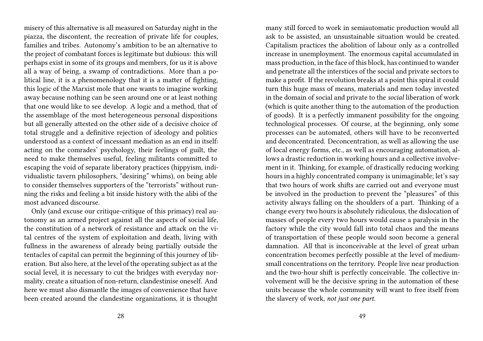misery of this alternative is all measured on Saturday night in the piazza, the discontent, the recreation of private life for couples, families and tribes. Autonomy's ambition to be an alternative to the project of combatant forces is legitimate but dubious: this will perhaps exist in some of its groups and members, for us it is above all a way of being, a swamp of contradictions. More than a political line, it is a phenomenology that it is a matter of fighting, this logic of the Marxist mole that one wants to imagine working away because nothing can be seen around one or at least nothing that one would like to see develop. A logic and a method, that of the assemblage of the most heterogeneous personal dispositions but all generally attested on the other side of a decisive choice of total struggle and a definitive rejection of ideology and politics understood as a context of incessant mediation as an end in itself: acting on the comrades' psychology, their feelings of guilt, the need to make themselves useful, feeling militants committed to escaping the void of separate liberatory practices (hippyism, individualistic tavern philosophers, "desiring" whims), on being able to consider themselves supporters of the "terrorists" without running the risks and feeling a bit inside history with the alibi of the most advanced discourse.

Only (and excuse our critique-critique of this primacy) real autonomy as an armed project against all the aspects of social life, the constitution of a network of resistance and attack on the vital centres of the system of exploitation and death, living with fullness in the awareness of already being partially outside the tentacles of capital can permit the beginning of this journey of liberation. But also here, at the level of the operating subject as at the social level, it is necessary to cut the bridges with everyday normality, create a situation of non-return, clandestinise oneself. And here we must also dismantle the images of convenience that have been created around the clandestine organizations, it is thought

many still forced to work in semiautomatic production would all ask to be assisted, an unsustainable situation would be created. Capitalism practices the abolition of labour only as a controlled increase in unemployment. The enormous capital accumulated in mass production, in the face of this block, has continued to wander and penetrate all the interstices of the social and private sectors to make a profit. If the revolution breaks at a point this spiral it could turn this huge mass of means, materials and men today invested in the domain of social and private to the *social* liberation of work (which is quite another thing to the automation of the production of goods). It is a perfectly immanent possibility for the ongoing technological processes. Of course, at the beginning, only some processes can be automated, others will have to be reconverted and deconcentrated. Deconcentration, as well as allowing the use of local energy forms, etc., as well as encouraging automation, allows a drastic reduction in working hours and a collective involvement in it. Thinking, for example, of drastically reducing working hours in a highly concentrated company is unimaginable; let's say that two hours of work shifts are carried out and everyone must be involved in the production to prevent the "pleasures" of this activity always falling on the shoulders of a part. Thinking of a change every two hours is absolutely ridiculous, the dislocation of masses of people every two hours would cause a paralysis in the factory while the city would fall into total chaos and the means of transportation of these people would soon become a general damnation. All that is inconceivable at the level of great urban concentration becomes perfectly possible at the level of mediumsmall concentrations on the territory. People live near production and the two-hour shift is perfectly conceivable. The collective involvement will be the decisive spring in the automation of these units because the whole community will want to free itself from the slavery of work, *not just one part*.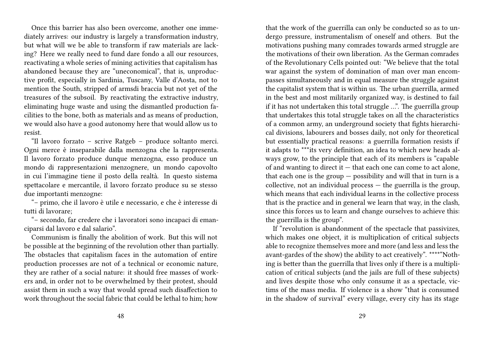Once this barrier has also been overcome, another one immediately arrives: our industry is largely a transformation industry, but what will we be able to transform if raw materials are lacking? Here we really need to fund dare fondo a all our resources, reactivating a whole series of mining activities that capitalism has abandoned because they are "uneconomical", that is, unproductive profit, especially in Sardinia, Tuscany, Valle d'Aosta, not to mention the South, stripped of armsdi braccia but not yet of the treasures of the subsoil. By reactivating the extractive industry, eliminating huge waste and using the dismantled production facilities to the bone, both as materials and as means of production, we would also have a good autonomy here that would allow us to resist.

"Il lavoro forzato – scrive Ratgeb – produce soltanto merci. Ogni merce è inseparabile dalla menzogna che la rappresenta. Il lavoro forzato produce dunque menzogna, esso produce un mondo di rappresentazioni menzognere, un mondo capovolto in cui l'immagine tiene il posto della realtà. In questo sistema spettacolare e mercantile, il lavoro forzato produce su se stesso due importanti menzogne:

"– primo, che il lavoro è utile e necessario, e che è interesse di tutti di lavorare;

"– secondo, far credere che i lavoratori sono incapaci di emanciparsi dal lavoro e dal salario".

Communism is finally the abolition of work. But this will not be possible at the beginning of the revolution other than partially. The obstacles that capitalism faces in the automation of entire production processes are not of a technical or economic nature, they are rather of a social nature: it should free masses of workers and, in order not to be overwhelmed by their protest, should assist them in such a way that would spread such disaffection to work throughout the social fabric that could be lethal to him; how

that the work of the guerrilla can only be conducted so as to undergo pressure, instrumentalism of oneself and others. But the motivations pushing many comrades towards armed struggle are the motivations of their own liberation. As the German comrades of the Revolutionary Cells pointed out: "We believe that the total war against the system of domination of man over man encompasses simultaneously and in equal measure the struggle against the capitalist system that is within us. The urban guerrilla, armed in the best and most militarily organized way, is destined to fail if it has not undertaken this total struggle …". The guerrilla group that undertakes this total struggle takes on all the characteristics of a common army, an underground society that fights hierarchical divisions, labourers and bosses daily, not only for theoretical but essentially practical reasons: a guerrilla formation resists if it adapts to \*\*\*its very definition, an idea to which new heads always grow, to the principle that each of its members is "capable of and wanting to direct it — that each one can come to act alone, that each one is the group  $-$  possibility and will that in turn is a collective, not an individual process — the guerrilla is the group, which means that each individual learns in the collective process that is the practice and in general we learn that way, in the clash, since this forces us to learn and change ourselves to achieve this: the guerrilla is the group".

If "revolution is abandonment of the spectacle that passivizes, which makes one object, it is multiplication of critical subjects able to recognize themselves more and more (and less and less the avant-gardes of the show) the ability to act creatively". \*\*\*\*"Nothing is better than the guerrilla that lives only if there is a multiplication of critical subjects (and the jails are full of these subjects) and lives despite those who only consume it as a spectacle, victims of the mass media. If violence is a show "that is consumed in the shadow of survival" every village, every city has its stage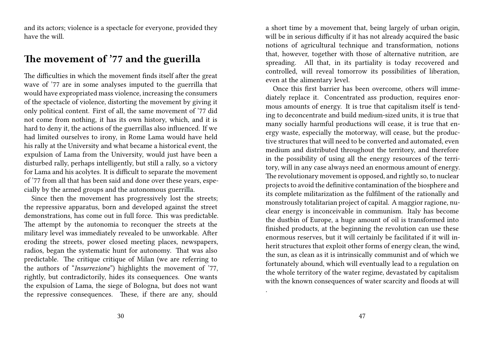and its actors; violence is a spectacle for everyone, provided they have the will.

#### **The movement of '77 and the guerilla**

The difficulties in which the movement finds itself after the great wave of '77 are in some analyses imputed to the guerrilla that would have expropriated mass violence, increasing the consumers of the spectacle of violence, distorting the movement by giving it only political content. First of all, the same movement of '77 did not come from nothing, it has its own history, which, and it is hard to deny it, the actions of the guerrillas also influenced. If we had limited ourselves to irony, in Rome Lama would have held his rally at the University and what became a historical event, the expulsion of Lama from the University, would just have been a disturbed rally, perhaps intelligently, but still a rally, so a victory for Lama and his acolytes. It is difficult to separate the movement of '77 from all that has been said and done over these years, especially by the armed groups and the autonomous guerrilla.

Since then the movement has progressively lost the streets; the repressive apparatus, born and developed against the street demonstrations, has come out in full force. This was predictable. The attempt by the autonomia to reconquer the streets at the military level was immediately revealed to be unworkable. After eroding the streets, power closed meeting places, newspapers, radios, began the systematic hunt for autonomy. That was also predictable. The critique critique of Milan (we are referring to the authors of "*Insurrezione*") highlights the movement of '77, rightly, but contradictorily, hides its consequences. One wants the expulsion of Lama, the siege of Bologna, but does not want the repressive consequences. These, if there are any, should

a short time by a movement that, being largely of urban origin, will be in serious difficulty if it has not already acquired the basic notions of agricultural technique and transformation, notions that, however, together with those of alternative nutrition, are spreading. All that, in its partiality is today recovered and controlled, will reveal tomorrow its possibilities of liberation, even at the alimentary level.

Once this first barrier has been overcome, others will immediately replace it. Concentrated ass production, requires enormous amounts of energy. It is true that capitalism itself is tending to deconcentrate and build medium-sized units, it is true that many socially harmful productions will cease, it is true that energy waste, especially the motorway, will cease, but the productive structures that will need to be converted and automated, even medium and distributed throughout the territory, and therefore in the possibility of using all the energy resources of the territory, will in any case always need an enormous amount of energy. The revolutionary movement is opposed, and rightly so, to nuclear projects to avoid the definitive contamination of the biosphere and its complete militarization as the fulfilment of the rationally and monstrously totalitarian project of capital. A maggior ragione, nuclear energy is inconceivable in communism. Italy has become the dustbin of Europe, a huge amount of oil is transformed into finished products, at the beginning the revolution can use these enormous reserves, but it will certainly be facilitated if it will inherit structures that exploit other forms of energy clean, the wind, the sun, as clean as it is intrinsically communist and of which we fortunately abound, which will eventually lead to a regulation on the whole territory of the water regime, devastated by capitalism with the known consequences of water scarcity and floods at will

.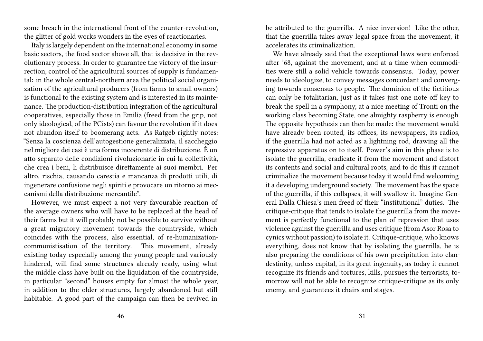some breach in the international front of the counter-revolution, the glitter of gold works wonders in the eyes of reactionaries.

Italy is largely dependent on the international economy in some basic sectors, the food sector above all, that is decisive in the revolutionary process. In order to guarantee the victory of the insurrection, control of the agricultural sources of supply is fundamental: in the whole central-northern area the political social organization of the agricultural producers (from farms to small owners) is functional to the existing system and is interested in its maintenance. The production-distribution integration of the agricultural cooperatives, especially those in Emilia (freed from the grip, not only ideological, of the PCists) can favour the revolution if it does not abandon itself to boomerang acts. As Ratgeb rightly notes: "Senza la coscienza dell'autogestione generalizzata, il saccheggio nel migliore dei casi è una forma incoerente di distribuzione. È un atto separato delle condizioni rivoluzionarie in cui la collettività, che crea i beni, li distribuisce direttamente ai suoi membri. Per altro, rischia, causando carestia e mancanza di prodotti utili, di ingenerare confusione negli spiriti e provocare un ritorno ai meccanismi della distribuzione mercantile".

However, we must expect a not very favourable reaction of the average owners who will have to be replaced at the head of their farms but it will probably not be possible to survive without a great migratory movement towards the countryside, which coincides with the process, also essential, of re-humanizationcommunistisation of the territory. This movement, already existing today especially among the young people and variously hindered, will find some structures already ready, using what the middle class have built on the liquidation of the countryside, in particular "second" houses empty for almost the whole year, in addition to the older structures, largely abandoned but still habitable. A good part of the campaign can then be revived in

be attributed to the guerrilla. A nice inversion! Like the other, that the guerrilla takes away legal space from the movement, it accelerates its criminalization.

We have already said that the exceptional laws were enforced after '68, against the movement, and at a time when commodities were still a solid vehicle towards consensus. Today, power needs to ideologize, to convey messages concordant and converging towards consensus to people. The dominion of the fictitious can only be totalitarian, just as it takes just one note off key to break the spell in a symphony, at a nice meeting of Tronti on the working class becoming State, one almighty raspberry is enough. The opposite hypothesis can then be made: the movement would have already been routed, its offices, its newspapers, its radios, if the guerrilla had not acted as a lightning rod, drawing all the repressive apparatus on to itself. Power's aim in this phase is to isolate the guerrilla, eradicate it from the movement and distort its contents and social and cultural roots, and to do this it cannot criminalize the movement because today it would find welcoming it a developing underground society. The movement has the space of the guerrilla, if this collapses, it will swallow it. Imagine General Dalla Chiesa's men freed of their "institutional" duties. The critique-critique that tends to isolate the guerrilla from the movement is perfectly functional to the plan of repression that uses violence against the guerrilla and uses critique (from Asor Rosa to cynics without passion) to isolate it. Critique-critique, who knows everything, does not know that by isolating the guerrilla, he is also preparing the conditions of his own precipitation into clandestinity, unless capital, in its great ingenuity, as today it cannot recognize its friends and tortures, kills, pursues the terrorists, tomorrow will not be able to recognize critique-critique as its only enemy, and guarantees it chairs and stages.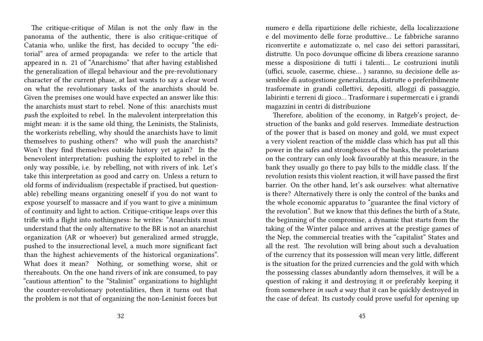The critique-critique of Milan is not the only flaw in the panorama of the authentic, there is also critique-critique of Catania who, unlike the first, has decided to occupy "the editorial" area of armed propaganda: we refer to the article that appeared in n. 21 of "Anarchismo" that after having established the generalization of illegal behaviour and the pre-revolutionary character of the current phase, at last wants to say a clear word on what the revolutionary tasks of the anarchists should be. Given the premises one would have expected an answer like this: the anarchists must start to rebel. None of this: anarchists must *push* the exploited to rebel. In the malevolent interpretation this might mean: it is the same old thing, the Leninists, the Stalinists, the workerists rebelling, why should the anarchists have to limit themselves to pushing others? who will push the anarchists? Won't they find themselves outside history yet again? In the benevolent interpretation: pushing the exploited to rebel in the only way possible, i.e. by rebelling, not with rivers of ink. Let's take this interpretation as good and carry on. Unless a return to old forms of individualism (respectable if practised, but questionable) rebelling means organizing oneself if you do not want to expose yourself to massacre and if you want to give a minimum of continuity and light to action. Critique-critique leaps over this trifle with a flight into nothingness: he writes: "Anarchists must understand that the only alternative to the BR is not an anarchist organization (AR or whoever) but generalized armed struggle, pushed to the insurrectional level, a much more significant fact than the highest achievements of the historical organizations". What does it mean? Nothing, or something worse, shit or thereabouts. On the one hand rivers of ink are consumed, to pay "cautious attention" to the "Stalinist" organizations to highlight the counter-revolutionary potentialities, then it turns out that the problem is not that of organizing the non-Leninist forces but

numero e della ripartizione delle richieste, della localizzazione e del movimento delle forze produttive… Le fabbriche saranno riconvertite e automatizzate o, nel caso dei settori parassitari, distrutte. Un poco dovunque officine di libera creazione saranno messe a disposizione di tutti i talenti… Le costruzioni inutili (uffici, scuole, caserme, chiese… ) saranno, su decisione delle assemblee di autogestione generalizzata, distrutte o preferibilmente trasformate in grandi collettivi, depositi, alloggi di passaggio, labirinti e terreni di gioco… Trasformare i supermercati e i grandi magazzini in centri di distribuzione

Therefore, abolition of the economy, in Ratgeb's project, destruction of the banks and gold reserves. Immediate destruction of the power that is based on money and gold, we must expect a very violent reaction of the middle class which has put all this power in the safes and strongboxes of the banks, the proletarians on the contrary can only look favourably at this measure, in the bank they usually go there to pay bills to the middle class. If the revolution resists this violent reaction, it will have passed the first barrier. On the other hand, let's ask ourselves: what alternative is there? Alternatively there is only the control of the banks and the whole economic apparatus to "guarantee the final victory of the revolution". But we know that this defines the birth of a State, the beginning of the compromise, a dynamic that starts from the taking of the Winter palace and arrives at the prestige games of the Nep, the commercial treaties with the "capitalist" States and all the rest. The revolution will bring about such a devaluation of the currency that its possession will mean very little, different is the situation for the prized currencies and the gold with which the possessing classes abundantly adorn themselves, it will be a question of raking it and destroying it or preferably keeping it from somewhere *in such a way* that it can be quickly destroyed in the case of defeat. Its custody could prove useful for opening up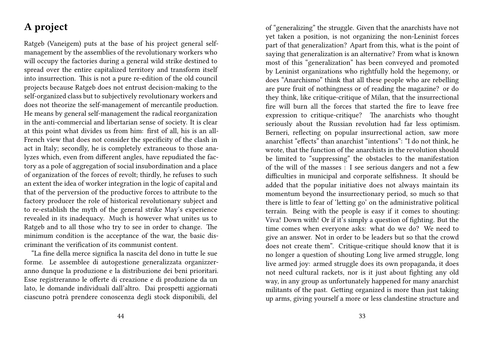#### **A project**

Ratgeb (Vaneigem) puts at the base of his project general selfmanagement by the assemblies of the revolutionary workers who will occupy the factories during a general wild strike destined to spread over the entire capitalized territory and transform itself into insurrection. This is not a pure re-edition of the old council projects because Ratgeb does not entrust decision-making to the self-organized class but to subjectively revolutionary workers and does not theorize the self-management of mercantile production. He means by general self-management the radical reorganization in the anti-commercial and libertarian sense of society. It is clear at this point what divides us from him: first of all, his is an all-French view that does not consider the specificity of the clash in act in Italy; secondly, he is completely extraneous to those analyzes which, even from different angles, have repudiated the factory as a pole of aggregation of social insubordination and a place of organization of the forces of revolt; thirdly, he refuses to such an extent the idea of worker integration in the logic of capital and that of the perversion of the productive forces to attribute to the factory producer the role of historical revolutionary subject and to re-establish the myth of the general strike May's experience revealed in its inadequacy. Much is however what unites us to Ratgeb and to all those who try to see in order to change. The minimum condition is the acceptance of the war, the basic discriminant the verification of its communist content.

"La fine della merce significa la nascita del dono in tutte le sue forme. Le assemblee di autogestione generalizzata organizzeranno dunque la produzione e la distribuzione dei beni prioritari. Esse registreranno le offerte di creazione e di produzione da un lato, le domande individuali dall'altro. Dai prospetti aggiornati ciascuno potrà prendere conoscenza degli stock disponibili, del

of "generalizing" the struggle. Given that the anarchists have not yet taken a position, is not organizing the non-Leninist forces part of that generalization? Apart from this, what is the point of saying that generalization is an alternative? From what is known most of this "generalization" has been conveyed and promoted by Leninist organizations who rightfully hold the hegemony, or does "Anarchismo" think that all these people who are rebelling are pure fruit of nothingness or of reading the magazine? or do they think, like critique-critique of Milan, that the insurrectional fire will burn all the forces that started the fire to leave free expression to critique-critique? The anarchists who thought seriously about the Russian revolution had far less optimism. Berneri, reflecting on popular insurrectional action, saw more anarchist "effects" than anarchist "intentions": "I do not think, he wrote, that the function of the anarchists in the revolution should be limited to "suppressing" the obstacles to the manifestation of the will of the masses : I see serious dangers and not a few difficulties in municipal and corporate selfishness. It should be added that the popular initiative does not always maintain its momentum beyond the insurrectionary period, so much so that there is little to fear of 'letting go' on the administrative political terrain. Being with the people is easy if it comes to shouting: Viva! Down with! Or if it's simply a question of fighting. But the time comes when everyone asks: what do we do? We need to give an answer. Not in order to be leaders but so that the crowd does not create them". Critique-critique should know that it is no longer a question of shouting Long live armed struggle, long live armed joy: armed struggle does its own propaganda, it does not need cultural rackets, nor is it just about fighting any old way, in any group as unfortunately happened for many anarchist militants of the past. Getting organized is more than just taking up arms, giving yourself a more or less clandestine structure and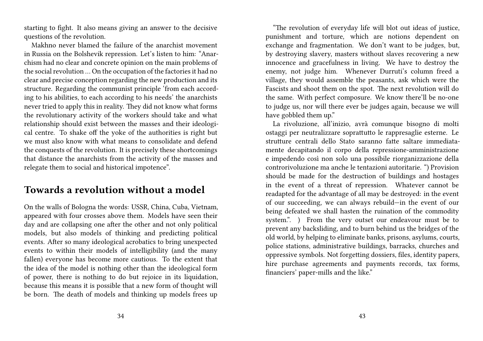starting to fight. It also means giving an answer to the decisive questions of the revolution.

Makhno never blamed the failure of the anarchist movement in Russia on the Bolshevik repression. Let's listen to him: "Anarchism had no clear and concrete opinion on the main problems of the social revolution … On the occupation of the factories it had no clear and precise conception regarding the new production and its structure. Regarding the communist principle 'from each according to his abilities, to each according to his needs' the anarchists never tried to apply this in reality. They did not know what forms the revolutionary activity of the workers should take and what relationship should exist between the masses and their ideological centre. To shake off the yoke of the authorities is right but we must also know with what means to consolidate and defend the conquests of the revolution. It is precisely these shortcomings that distance the anarchists from the activity of the masses and relegate them to social and historical impotence".

#### **Towards a revolution without a model**

On the walls of Bologna the words: USSR, China, Cuba, Vietnam, appeared with four crosses above them. Models have seen their day and are collapsing one after the other and not only political models, but also models of thinking and predicting political events. After so many ideological acrobatics to bring unexpected events to within their models of intelligibility (and the many fallen) everyone has become more cautious. To the extent that the idea of the model is nothing other than the ideological form of power, there is nothing to do but rejoice in its liquidation, because this means it is possible that a new form of thought will be born. The death of models and thinking up models frees up

"The revolution of everyday life will blot out ideas of justice, punishment and torture, which are notions dependent on exchange and fragmentation. We don't want to be judges, but, by destroying slavery, masters without slaves recovering a new innocence and gracefulness in living. We have to destroy the enemy, not judge him. Whenever Durruti's column freed a village, they would assemble the peasants, ask which were the Fascists and shoot them on the spot. The next revolution will do the same. With perfect composure. We know there'll be no-one to judge us, nor will there ever be judges again, because we will have gobbled them up."

La rivoluzione, all'inizio, avrà comunque bisogno di molti ostaggi per neutralizzare soprattutto le rappresaglie esterne. Le strutture centrali dello Stato saranno fatte saltare immediatamente decapitando il corpo della repressione-amministrazione e impedendo così non solo una possibile riorganizzazione della controrivoluzione ma anche le tentazioni autoritarie. ") Provision should be made for the destruction of buildings and hostages in the event of a threat of repression. Whatever cannot be readapted for the advantage of all may be destroyed: in the event of our succeeding, we can always rebuild—in the event of our being defeated we shall hasten the ruination of the commodity system.". ) From the very outset our endeavour must be to prevent any backsliding, and to burn behind us the bridges of the old world, by helping to eliminate banks, prisons, asylums, courts, police stations, administrative buildings, barracks, churches and oppressive symbols. Not forgetting dossiers, files, identity papers, hire purchase agreements and payments records, tax forms, financiers' paper-mills and the like."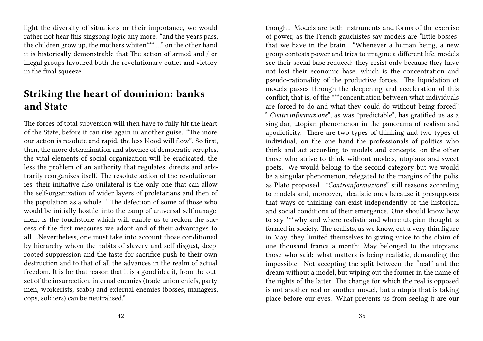light the diversity of situations or their importance, we would rather not hear this singsong logic any more: "and the years pass, the children grow up, the mothers whiten\*\*\* …" on the other hand it is historically demonstrable that The action of armed and / or illegal groups favoured both the revolutionary outlet and victory in the final squeeze.

#### **Striking the heart of dominion: banks and State**

The forces of total subversion will then have to fully hit the heart of the State, before it can rise again in another guise. "The more our action is resolute and rapid, the less blood will flow". So first, then, the more determination and absence of democratic scruples, the vital elements of social organization will be eradicated, the less the problem of an authority that regulates, directs and arbitrarily reorganizes itself. The resolute action of the revolutionaries, their initiative also unilateral is the only one that can allow the self-organization of wider layers of proletarians and then of the population as a whole. " The defection of some of those who would be initially hostile, into the camp of universal selfmanagement is the touchstone which will enable us to reckon the success of the first measures we adopt and of their advantages to all….Nevertheless, one must take into account those conditioned by hierarchy whom the habits of slavery and self-disgust, deeprooted suppression and the taste for sacrifice push to their own destruction and to that of all the advances in the realm of actual freedom. It is for that reason that it is a good idea if, from the outset of the insurrection, internal enemies (trade union chiefs, party men, workerists, scabs) and external enemies (bosses, managers, cops, soldiers) can be neutralised."

thought. Models are both instruments and forms of the exercise of power, as the French gauchistes say models are "little bosses" that we have in the brain. "Whenever a human being, a new group contests power and tries to imagine a different life, models see their social base reduced: they resist only because they have not lost their economic base, which is the concentration and pseudo-rationality of the productive forces. The liquidation of models passes through the deepening and acceleration of this conflict, that is, of the \*\*\*concentration between what individuals are forced to do and what they could do without being forced". " *Controinformazione*", as was "predictable", has gratified us as a singular, utopian phenomenon in the panorama of realism and apodicticity. There are two types of thinking and two types of individual, on the one hand the professionals of politics who think and act according to models and concepts, on the other those who strive to think without models, utopians and sweet poets. We would belong to the second category but we would be a singular phenomenon, relegated to the margins of the polis, as Plato proposed. "*Controinformazione*" still reasons according to models and, moreover, idealistic ones because it presupposes that ways of thinking can exist independently of the historical and social conditions of their emergence. One should know how to say \*\*\*why and where realistic and where utopian thought is formed in society. The realists, as we know, cut a very thin figure in May, they limited themselves to giving voice to the claim of one thousand francs a month; May belonged to the utopians, those who said: what matters is being realistic, demanding the impossible. Not accepting the split between the "real" and the dream without a model, but wiping out the former in the name of the rights of the latter. The change for which the real is opposed is not another real or another model, but a utopia that is taking place before our eyes. What prevents us from seeing it are our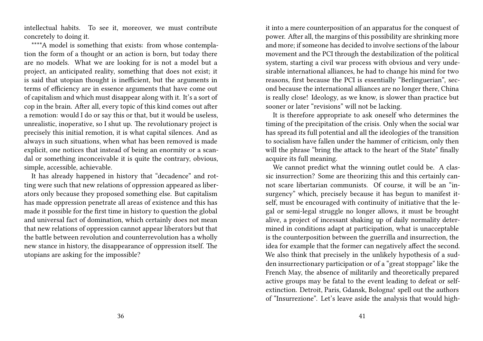intellectual habits. To see it, moreover, we must contribute concretely to doing it.

\*\*\*\*A model is something that exists: from whose contemplation the form of a thought or an action is born, but today there are no models. What we are looking for is not a model but a project, an anticipated reality, something that does not exist; it is said that utopian thought is inefficient, but the arguments in terms of efficiency are in essence arguments that have come out of capitalism and which must disappear along with it. It's a sort of cop in the brain. After all, every topic of this kind comes out after a remotion: would I do or say this or that, but it would be useless, unrealistic, inoperative, so I shut up. The revolutionary project is precisely this initial remotion, it is what capital silences. And as always in such situations, when what has been removed is made explicit, one notices that instead of being an enormity or a scandal or something inconceivable it is quite the contrary, obvious, simple, accessible, achievable.

It has already happened in history that "decadence" and rotting were such that new relations of oppression appeared as liberators only because they proposed something else. But capitalism has made oppression penetrate all areas of existence and this has made it possible for the first time in history to question the global and universal fact of domination, which certainly does not mean that new relations of oppression cannot appear liberators but that the battle between revolution and counterrevolution has a wholly new stance in history, the disappearance of oppression itself. The utopians are asking for the impossible?

it into a mere counterposition of an apparatus for the conquest of power. After all, the margins of this possibility are shrinking more and more; if someone has decided to involve sections of the labour movement and the PCI through the destabilization of the political system, starting a civil war process with obvious and very undesirable international alliances, he had to change his mind for two reasons, first because the PCI is essentially "Berlinguerian", second because the international alliances are no longer there, China is really close! Ideology, as we know, is slower than practice but sooner or later "revisions" will not be lacking.

It is therefore appropriate to ask oneself who determines the timing of the precipitation of the crisis. Only when the social war has spread its full potential and all the ideologies of the transition to socialism have fallen under the hammer of criticism, only then will the phrase "bring the attack to the heart of the State" finally acquire its full meaning.

We cannot predict what the winning outlet could be. A classic insurrection? Some are theorizing this and this certainly cannot scare libertarian communists. Of course, it will be an "insurgency" which, precisely because it has begun to manifest itself, must be encouraged with continuity of initiative that the legal or semi-legal struggle no longer allows, it must be brought alive, a project of incessant shaking up of daily normality determined in conditions adapt at participation, what is unacceptable is the counterposition between the guerrilla and insurrection, the idea for example that the former can negatively affect the second. We also think that precisely in the unlikely hypothesis of a sudden insurrectionary participation or of a "great stoppage" like the French May, the absence of militarily and theoretically prepared active groups may be fatal to the event leading to defeat or selfextinction. Detroit, Paris, Gdansk, Bologna! spell out the authors of "Insurrezione". Let's leave aside the analysis that would high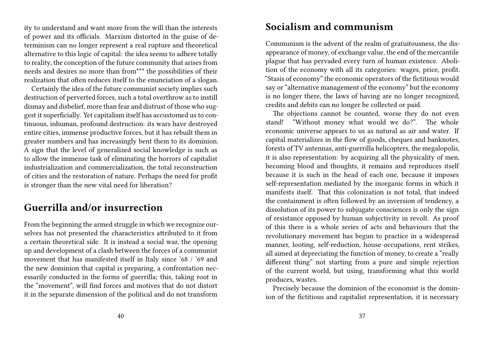ity to understand and want more from the will than the interests of power and its officials. Marxism distorted in the guise of determinism can no longer represent a real rupture and theoretical alternative to this logic of capital: the idea seems to adhere totally to reality, the conception of the future community that arises from needs and desires no more than from\*\*\* the possibilities of their realization that often reduces itself to the enunciation of a slogan.

Certainly the idea of the future communist society implies such destruction of perverted forces, such a total overthrow as to instill dismay and disbelief, more than fear and distrust of those who suggest it superficially. Yet capitalism itself has accustomed us to continuous, inhuman, profound destruction: its wars have destroyed entire cities, immense productive forces, but it has rebuilt them in greater numbers and has increasingly bent them to its dominion. A sign that the level of generalized social knowledge is such as to allow the immense task of eliminating the horrors of capitalist industrialization and commercialization, the total reconstruction of cities and the restoration of nature. Perhaps the need for profit is stronger than the new vital need for liberation?

#### **Guerrilla and/or insurrection**

From the beginning the armed struggle in which we recognize ourselves has not presented the characteristics attributed to it from a certain theoretical side. It is instead a social war, the opening up and development of a clash between the forces of a communist movement that has manifested itself in Italy since '68 / '69 and the new dominion that capital is preparing, a confrontation necessarily conducted in the forms of guerrilla; this, taking root in the "movement", will find forces and motives that do not distort it in the separate dimension of the political and do not transform

#### **Socialism and communism**

Communism is the advent of the realm of gratuitousness, the disappearance of money, of exchange value, the end of the mercantile plague that has pervaded every turn of human existence. Abolition of the economy with all its categories: wages, price, profit. "Stasis of economy" the economic operators of the fictitious would say or "alternative management of the economy" but the economy is no longer there, the laws of having are no longer recognized, credits and debits can no longer be collected or paid.

The objections cannot be counted, worse they do not even stand! "Without money what would we do?". The whole economic universe appears to us as natural as air and water. If capital materializes in the flow of goods, cheques and banknotes, forests of TV antennas, anti-guerrilla helicopters, the megalopolis, it is also representation: by acquiring all the physicality of men, becoming blood and thoughts, it remains and reproduces itself because it is such in the head of each one, because it imposes self-representation mediated by the inorganic forms in which it manifests itself. That this colonization is not total, that indeed the containment is often followed by an inversion of tendency, a dissolution of its power to subjugate consciences is only the sign of resistance opposed by human subjectivity in revolt. As proof of this there is a whole series of acts and behaviours that the revolutionary movement has begun to practice in a widespread manner, looting, self-reduction, house occupations, rent strikes, all aimed at depreciating the function of money, to create a "really different thing" not starting from a pure and simple rejection of the current world, but using, transforming what this world produces, wastes.

Precisely because the dominion of the economist is the dominion of the fictitious and capitalist representation, it is necessary